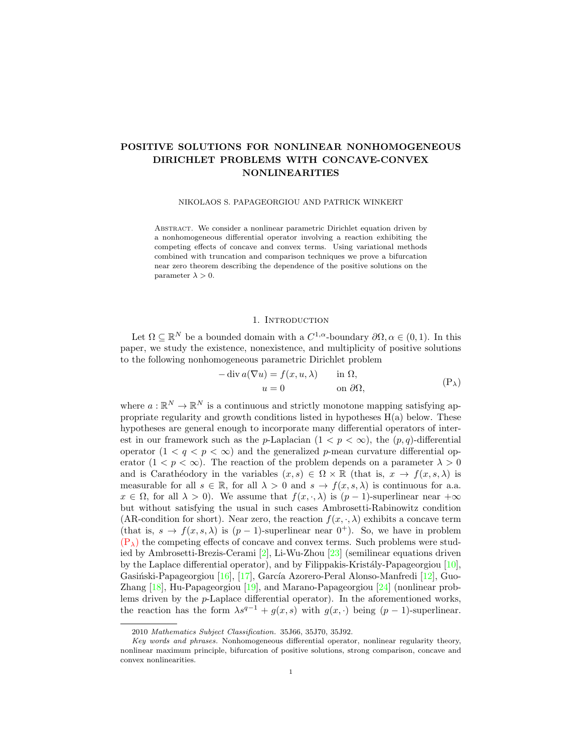# POSITIVE SOLUTIONS FOR NONLINEAR NONHOMOGENEOUS DIRICHLET PROBLEMS WITH CONCAVE-CONVEX NONLINEARITIES

NIKOLAOS S. PAPAGEORGIOU AND PATRICK WINKERT

Abstract. We consider a nonlinear parametric Dirichlet equation driven by a nonhomogeneous differential operator involving a reaction exhibiting the competing effects of concave and convex terms. Using variational methods combined with truncation and comparison techniques we prove a bifurcation near zero theorem describing the dependence of the positive solutions on the parameter  $\lambda > 0$ .

## <span id="page-0-0"></span>1. INTRODUCTION

Let  $\Omega \subseteq \mathbb{R}^N$  be a bounded domain with a  $C^{1,\alpha}$ -boundary  $\partial\Omega, \alpha \in (0,1)$ . In this paper, we study the existence, nonexistence, and multiplicity of positive solutions to the following nonhomogeneous parametric Dirichlet problem

$$
- \operatorname{div} a(\nabla u) = f(x, u, \lambda) \quad \text{in } \Omega,
$$
  

$$
u = 0 \quad \text{on } \partial\Omega,
$$
 (P<sub>\lambda</sub>)

where  $a: \mathbb{R}^N \to \mathbb{R}^N$  is a continuous and strictly monotone mapping satisfying appropriate regularity and growth conditions listed in hypotheses  $H(a)$  below. These hypotheses are general enough to incorporate many differential operators of interest in our framework such as the p-Laplacian  $(1 < p < \infty)$ , the  $(p,q)$ -differential operator  $(1 \lt q \lt p \lt \infty)$  and the generalized p-mean curvature differential operator  $(1 < p < \infty)$ . The reaction of the problem depends on a parameter  $\lambda > 0$ and is Carathéodory in the variables  $(x, s) \in \Omega \times \mathbb{R}$  (that is,  $x \to f(x, s, \lambda)$  is measurable for all  $s \in \mathbb{R}$ , for all  $\lambda > 0$  and  $s \to f(x, s, \lambda)$  is continuous for a.a.  $x \in \Omega$ , for all  $\lambda > 0$ ). We assume that  $f(x, \cdot, \lambda)$  is  $(p-1)$ -superlinear near  $+\infty$ but without satisfying the usual in such cases Ambrosetti-Rabinowitz condition (AR-condition for short). Near zero, the reaction  $f(x, \cdot, \lambda)$  exhibits a concave term (that is,  $s \to f(x, s, \lambda)$  is  $(p-1)$ -superlinear near  $0^+$ ). So, we have in problem  $(P_{\lambda})$  $(P_{\lambda})$  the competing effects of concave and convex terms. Such problems were studied by Ambrosetti-Brezis-Cerami [\[2\]](#page-26-0), Li-Wu-Zhou [\[23\]](#page-26-1) (semilinear equations driven by the Laplace differential operator), and by Filippakis-Kristály-Papageorgiou  $[10]$ , Gasiński-Papageorgiou [\[16\]](#page-26-3), [\[17\]](#page-26-4), García Azorero-Peral Alonso-Manfredi [\[12\]](#page-26-5), Guo-Zhang [\[18\]](#page-26-6), Hu-Papageorgiou [\[19\]](#page-26-7), and Marano-Papageorgiou [\[24\]](#page-26-8) (nonlinear problems driven by the p-Laplace differential operator). In the aforementioned works, the reaction has the form  $\lambda s^{q-1} + g(x, s)$  with  $g(x, \cdot)$  being  $(p-1)$ -superlinear.

<sup>2010</sup> Mathematics Subject Classification. 35J66, 35J70, 35J92.

Key words and phrases. Nonhomogeneous differential operator, nonlinear regularity theory, nonlinear maximum principle, bifurcation of positive solutions, strong comparison, concave and convex nonlinearities.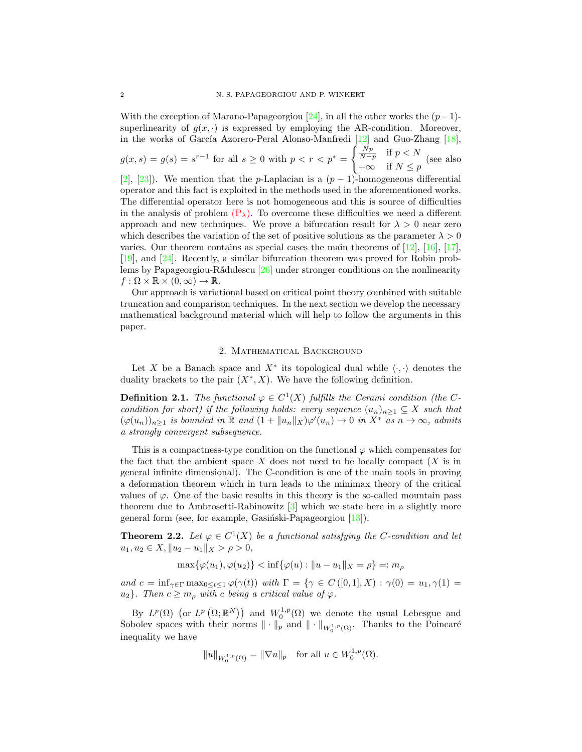With the exception of Marano-Papageorgiou [\[24\]](#page-26-8), in all the other works the  $(p-1)$ superlinearity of  $g(x, \cdot)$  is expressed by employing the AR-condition. Moreover, in the works of García Azorero-Peral Alonso-Manfredi  $[12]$  and Guo-Zhang  $[18]$ ,  $g(x, s) = g(s) = s^{r-1}$  for all  $s \ge 0$  with  $p < r < p^* =$  $\int \frac{Np}{N-p}$  if  $p < N$  $\begin{array}{ll} N-p & \text{if } P \leq Y \\ +\infty & \text{if } N \leq p \end{array}$  (see also [\[2\]](#page-26-0), [\[23\]](#page-26-1)). We mention that the p-Laplacian is a  $(p-1)$ -homogeneous differential operator and this fact is exploited in the methods used in the aforementioned works. The differential operator here is not homogeneous and this is source of difficulties in the analysis of problem  $(P_{\lambda})$  $(P_{\lambda})$ . To overcome these difficulties we need a different approach and new techniques. We prove a bifurcation result for  $\lambda > 0$  near zero which describes the variation of the set of positive solutions as the parameter  $\lambda > 0$ varies. Our theorem contains as special cases the main theorems of [\[12\]](#page-26-5), [\[16\]](#page-26-3), [\[17\]](#page-26-4), [\[19\]](#page-26-7), and [\[24\]](#page-26-8). Recently, a similar bifurcation theorem was proved for Robin problems by Papageorgiou-Rădulescu  $[26]$  under stronger conditions on the nonlinearity  $f: \Omega \times \mathbb{R} \times (0, \infty) \to \mathbb{R}.$ 

Our approach is variational based on critical point theory combined with suitable truncation and comparison techniques. In the next section we develop the necessary mathematical background material which will help to follow the arguments in this paper.

## 2. Mathematical Background

Let X be a Banach space and  $X^*$  its topological dual while  $\langle \cdot, \cdot \rangle$  denotes the duality brackets to the pair  $(X^*, X)$ . We have the following definition.

**Definition 2.1.** The functional  $\varphi \in C^1(X)$  fulfills the Cerami condition (the Ccondition for short) if the following holds: every sequence  $(u_n)_{n\geq 1}\subseteq X$  such that  $(\varphi(u_n))_{n\geq 1}$  is bounded in  $\mathbb R$  and  $(1+\|u_n\|_X)\varphi'(u_n)\to 0$  in  $X^*$  as  $n\to\infty$ , admits a strongly convergent subsequence.

This is a compactness-type condition on the functional  $\varphi$  which compensates for the fact that the ambient space X does not need to be locally compact  $(X$  is in general infinite dimensional). The C-condition is one of the main tools in proving a deformation theorem which in turn leads to the minimax theory of the critical values of  $\varphi$ . One of the basic results in this theory is the so-called mountain pass theorem due to Ambrosetti-Rabinowitz [\[3\]](#page-26-9) which we state here in a slightly more general form (see, for example, Gasinski-Papageorgiou  $[13]$ ).

<span id="page-1-0"></span>**Theorem 2.2.** Let  $\varphi \in C^1(X)$  be a functional satisfying the C-condition and let  $u_1, u_2 \in X, ||u_2 - u_1||_X > \rho > 0,$ 

 $\max{\{\varphi(u_1), \varphi(u_2)\}} \leq \inf{\{\varphi(u) : ||u - u_1||_X = \rho\}} =: m_\rho$ 

and  $c = \inf_{\gamma \in \Gamma} \max_{0 \le t \le 1} \varphi(\gamma(t))$  with  $\Gamma = \{ \gamma \in C([0,1], X) : \gamma(0) = u_1, \gamma(1) =$  $u_2$ . Then  $c \geq m_o$  with c being a critical value of  $\varphi$ .

By  $L^p(\Omega)$  (or  $L^p(\Omega;\mathbb{R}^N)$ ) and  $W_0^{1,p}(\Omega)$  we denote the usual Lebesgue and Sobolev spaces with their norms  $\|\cdot\|_p$  and  $\|\cdot\|_{W_0^{1,p}(\Omega)}$ . Thanks to the Poincaré inequality we have

$$
||u||_{W_0^{1,p}(\Omega)} = ||\nabla u||_p
$$
 for all  $u \in W_0^{1,p}(\Omega)$ .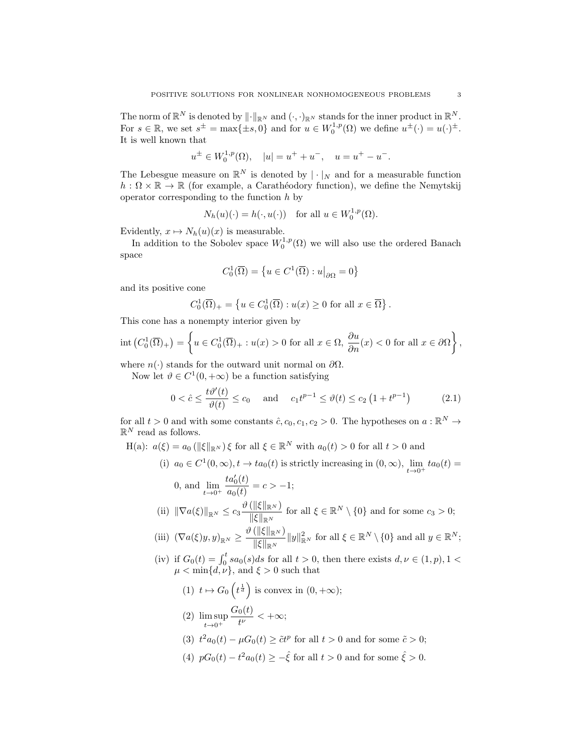The norm of  $\mathbb{R}^N$  is denoted by  $\|\cdot\|_{\mathbb{R}^N}$  and  $(\cdot, \cdot)_{\mathbb{R}^N}$  stands for the inner product in  $\mathbb{R}^N$ . For  $s \in \mathbb{R}$ , we set  $s^{\pm} = \max\{\pm s, 0\}$  and for  $u \in W_0^{1,p}(\Omega)$  we define  $u^{\pm}(\cdot) = u(\cdot)^{\pm}$ . It is well known that

$$
u^{\pm} \in W_0^{1,p}(\Omega), \quad |u| = u^+ + u^-, \quad u = u^+ - u^-.
$$

The Lebesgue measure on  $\mathbb{R}^N$  is denoted by  $|\cdot|_N$  and for a measurable function  $h : \Omega \times \mathbb{R} \to \mathbb{R}$  (for example, a Carathéodory function), we define the Nemytskij operator corresponding to the function  $h$  by

$$
N_h(u)(\cdot) = h(\cdot, u(\cdot)) \quad \text{for all } u \in W_0^{1,p}(\Omega).
$$

Evidently,  $x \mapsto N_h(u)(x)$  is measurable.

In addition to the Sobolev space  $W_0^{1,p}(\Omega)$  we will also use the ordered Banach space

<span id="page-2-0"></span>
$$
C_0^1(\overline{\Omega})=\left\{u\in C^1(\overline{\Omega}):u\big|_{\partial\Omega}=0\right\}
$$

and its positive cone

$$
C_0^1(\overline{\Omega})_+ = \left\{ u \in C_0^1(\overline{\Omega}) : u(x) \ge 0 \text{ for all } x \in \overline{\Omega} \right\}.
$$

This cone has a nonempty interior given by

$$
\mathrm{int}\left(C_0^1(\overline{\Omega})_+\right) = \left\{ u \in C_0^1(\overline{\Omega})_+ : u(x) > 0 \text{ for all } x \in \Omega, \frac{\partial u}{\partial n}(x) < 0 \text{ for all } x \in \partial\Omega \right\},\
$$

where  $n(\cdot)$  stands for the outward unit normal on  $\partial\Omega$ .

Now let  $\vartheta \in C^1(0, +\infty)$  be a function satisfying

$$
0 < \hat{c} \le \frac{t\vartheta'(t)}{\vartheta(t)} \le c_0 \quad \text{and} \quad c_1 t^{p-1} \le \vartheta(t) \le c_2 \left(1 + t^{p-1}\right) \tag{2.1}
$$

for all  $t > 0$  and with some constants  $\hat{c}$ ,  $c_0$ ,  $c_1$ ,  $c_2 > 0$ . The hypotheses on  $a : \mathbb{R}^N \to$  $\mathbb{R}^N$  read as follows.

H(a):  $a(\xi) = a_0 (\|\xi\|_{\mathbb{R}^N}) \xi$  for all  $\xi \in \mathbb{R}^N$  with  $a_0(t) > 0$  for all  $t > 0$  and

(i) 
$$
a_0 \in C^1(0, \infty)
$$
,  $t \to ta_0(t)$  is strictly increasing in  $(0, \infty)$ ,  $\lim_{t \to 0^+} ta_0(t) =$ 

0, and 
$$
\lim_{t \to 0^+} \frac{ta'_0(t)}{a_0(t)} = c > -1;
$$

\n(ii)  $\|\nabla a(\xi)\|_{\mathbb{R}^N} \leq c_3 \frac{\vartheta(\|\xi\|_{\mathbb{R}^N})}{\|\xi\|_{\mathbb{R}^N}}$  for all  $\xi \in \mathbb{R}^N \setminus \{0\}$  and for some  $c_3 > 0;$ 

(iii) 
$$
(\nabla a(\xi)y, y)_{\mathbb{R}^N} \ge \frac{\vartheta(\|\xi\|_{\mathbb{R}^N})}{\|\xi\|_{\mathbb{R}^N}} \|y\|_{\mathbb{R}^N}^2
$$
 for all  $\xi \in \mathbb{R}^N \setminus \{0\}$  and all  $y \in \mathbb{R}^N$ ;

(iv) if  $G_0(t) = \int_0^t sa_0(s)ds$  for all  $t > 0$ , then there exists  $d, \nu \in (1, p), 1 <$  $\mu < \min\{d, \nu\}$ , and  $\xi > 0$  such that

(1) 
$$
t \mapsto G_0 \left( t^{\frac{1}{d}} \right)
$$
 is convex in  $(0, +\infty)$ ;  
(2)  $\lim_{x \to \infty} G_0(t)$ 

$$
(2) \limsup_{t\to 0^+}\frac{\omega_0(v)}{t^{\nu}}<+\infty;
$$

- (3)  $t^2 a_0(t) \mu G_0(t) \geq \tilde{c} t^p$  for all  $t > 0$  and for some  $\tilde{c} > 0$ ;
- (4)  $pG_0(t) t^2 a_0(t) \geq -\hat{\xi}$  for all  $t > 0$  and for some  $\hat{\xi} > 0$ .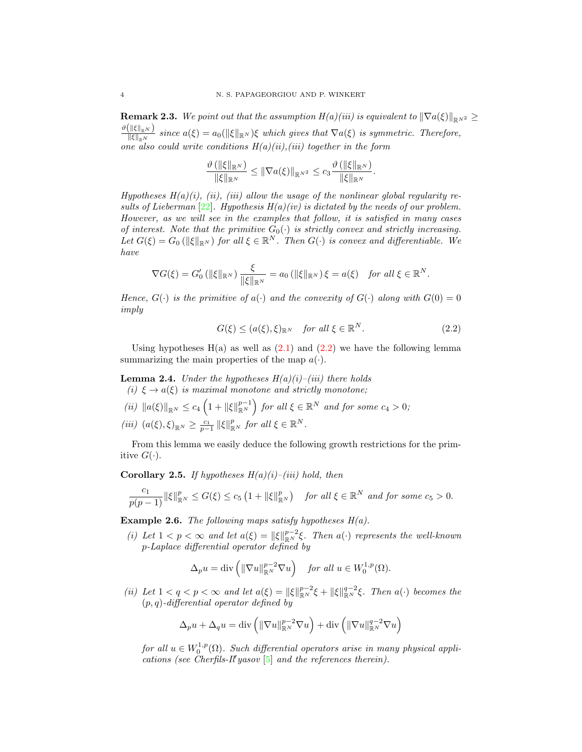**Remark 2.3.** We point out that the assumption  $H(a)(iii)$  is equivalent to  $\|\nabla a(\xi)\|_{\mathbb{R}^N}$   $\geq$  $\vartheta\big(\|\xi\|_{\mathbb{R}^N} \big)$  $\frac{\sin\left(\frac{\pi}{\epsilon}\right)}{\|\xi\|_{\mathbb{R}^N}}$  since  $a(\xi) = a_0(\|\xi\|_{\mathbb{R}^N})\xi$  which gives that  $\nabla a(\xi)$  is symmetric. Therefore, one also could write conditions  $H(a)(ii)$ , (iii) together in the form

$$
\frac{\vartheta(\|\xi\|_{\mathbb{R}^N})}{\|\xi\|_{\mathbb{R}^N}} \leq \|\nabla a(\xi)\|_{\mathbb{R}^{N^2}} \leq c_3 \frac{\vartheta(\|\xi\|_{\mathbb{R}^N})}{\|\xi\|_{\mathbb{R}^N}}.
$$

Hypotheses  $H(a)(i)$ , (ii), (iii) allow the usage of the nonlinear global regularity results of Lieberman  $[22]$ . Hypothesis  $H(a)(iv)$  is dictated by the needs of our problem. However, as we will see in the examples that follow, it is satisfied in many cases of interest. Note that the primitive  $G_0(\cdot)$  is strictly convex and strictly increasing. Let  $G(\xi) = G_0(\|\xi\|_{\mathbb{R}^N})$  for all  $\xi \in \mathbb{R}^N$ . Then  $G(\cdot)$  is convex and differentiable. We have

$$
\nabla G(\xi) = G_0' \left( \|\xi\|_{\mathbb{R}^N} \right) \frac{\xi}{\|\xi\|_{\mathbb{R}^N}} = a_0 \left( \|\xi\|_{\mathbb{R}^N} \right) \xi = a(\xi) \text{ for all } \xi \in \mathbb{R}^N.
$$

Hence,  $G(\cdot)$  is the primitive of  $a(\cdot)$  and the convexity of  $G(\cdot)$  along with  $G(0) = 0$ imply

<span id="page-3-0"></span>
$$
G(\xi) \le (a(\xi), \xi)_{\mathbb{R}^N} \quad \text{for all } \xi \in \mathbb{R}^N. \tag{2.2}
$$

Using hypotheses  $H(a)$  as well as  $(2.1)$  and  $(2.2)$  we have the following lemma summarizing the main properties of the map  $a(\cdot)$ .

<span id="page-3-1"></span>**Lemma 2.4.** Under the hypotheses  $H(a)(i)$ –(iii) there holds (i)  $\xi \rightarrow a(\xi)$  is maximal monotone and strictly monotone;

(ii)  $||a(\xi)||_{\mathbb{R}^N} \leq c_4 \left(1 + ||\xi||_{\mathbb{R}^N}^{p-1}\right)$  for all  $\xi \in \mathbb{R}^N$  and for some  $c_4 > 0$ ;

$$
(iii) \ \left(a(\xi),\xi\right)_{\mathbb{R}^N} \ge \frac{c_1}{p-1} \left\|\xi\right\|_{\mathbb{R}^N}^p \text{ for all } \xi \in \mathbb{R}^N.
$$

From this lemma we easily deduce the following growth restrictions for the primitive  $G(\cdot)$ .

<span id="page-3-2"></span>**Corollary 2.5.** If hypotheses  $H(a)(i)$ –(iii) hold, then

$$
\frac{c_1}{p(p-1)}\|\xi\|_{\mathbb{R}^N}^p\leq G(\xi)\leq c_5\left(1+\|\xi\|_{\mathbb{R}^N}^p\right)\quad \text{for all }\xi\in\mathbb{R}^N\text{ and for some }c_5>0.
$$

**Example 2.6.** The following maps satisfy hypotheses  $H(a)$ .

(i) Let  $1 < p < \infty$  and let  $a(\xi) = ||\xi||_{\mathbb{R}^N}^{p-2}\xi$ . Then  $a(\cdot)$  represents the well-known p-Laplace differential operator defined by

$$
\Delta_p u = \text{div}\left(\|\nabla u\|_{\mathbb{R}^N}^{p-2} \nabla u\right) \quad \text{for all } u \in W_0^{1,p}(\Omega).
$$

(ii) Let  $1 < q < p < \infty$  and let  $a(\xi) = ||\xi||_{\mathbb{R}^N}^{p-2}\xi + ||\xi||_{\mathbb{R}^N}^{q-2}\xi$ . Then  $a(\cdot)$  becomes the  $(p, q)$ -differential operator defined by

$$
\Delta_p u + \Delta_q u = \text{div}\left(\|\nabla u\|_{\mathbb{R}^N}^{p-2} \nabla u\right) + \text{div}\left(\|\nabla u\|_{\mathbb{R}^N}^{q-2} \nabla u\right)
$$

for all  $u \in W_0^{1,p}(\Omega)$ . Such differential operators arise in many physical applications (see Cherfils-Il'yasov  $[5]$  and the references therein).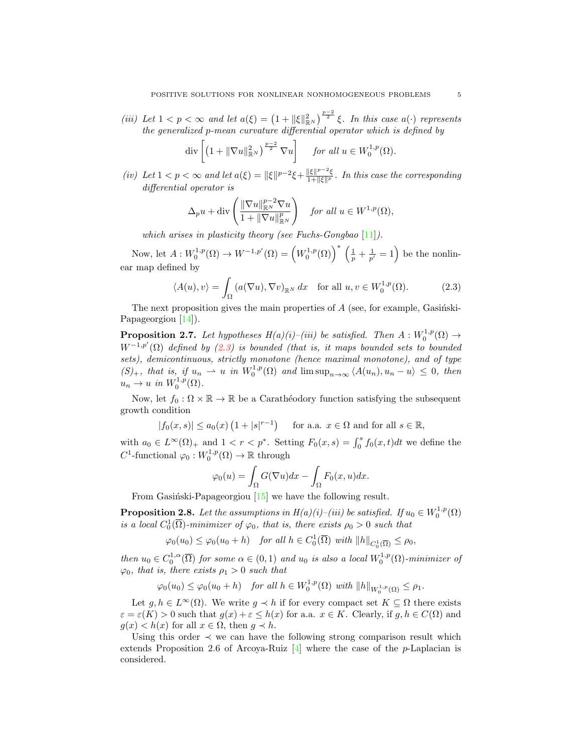(iii) Let  $1 < p < \infty$  and let  $a(\xi) = \left(1 + \|\xi\|_{\mathbb{R}^N}^2\right)^{\frac{p-2}{2}} \xi$ . In this case  $a(\cdot)$  represents the generalized p-mean curvature differential operator which is defined by

$$
\operatorname{div}\left[\left(1+\|\nabla u\|_{\mathbb{R}^N}^2\right)^{\frac{p-2}{2}}\nabla u\right] \quad \text{ for all } u \in W_0^{1,p}(\Omega).
$$

(iv) Let  $1 < p < \infty$  and let  $a(\xi) = ||\xi||^{p-2}\xi + \frac{||\xi||^{p-2}\xi}{1 + ||\xi||^p}$ . In this case the corresponding differential operator is

<span id="page-4-0"></span>
$$
\Delta_p u + \operatorname{div}\left(\frac{\|\nabla u\|_{\mathbb{R}^N}^{p-2} \nabla u}{1 + \|\nabla u\|_{\mathbb{R}^N}^p}\right) \quad \text{for all } u \in W^{1,p}(\Omega),
$$

which arises in plasticity theory (see Fuchs-Gongbao  $[11]$ ).

Now, let  $A: W_0^{1,p}(\Omega) \to W^{-1,p'}(\Omega) = \left(W_0^{1,p}(\Omega)\right)^* \left(\frac{1}{p} + \frac{1}{p'} = 1\right)$  be the nonlinear map defined by

$$
\langle A(u), v \rangle = \int_{\Omega} \left( a(\nabla u), \nabla v \right)_{\mathbb{R}^N} dx \quad \text{for all } u, v \in W_0^{1, p}(\Omega). \tag{2.3}
$$

The next proposition gives the main properties of  $A$  (see, for example, Gasinski-Papageorgiou [\[14\]](#page-26-14)).

<span id="page-4-1"></span>**Proposition 2.7.** Let hypotheses  $H(a)(i)$ -(iii) be satisfied. Then  $A: W_0^{1,p}(\Omega) \to$  $W^{-1,p'}(\Omega)$  defined by [\(2.3\)](#page-4-0) is bounded (that is, it maps bounded sets to bounded sets), demicontinuous, strictly monotone (hence maximal monotone), and of type  $(S)_+$ , that is, if  $u_n \rightharpoonup u$  in  $W_0^{1,p}(\Omega)$  and  $\limsup_{n\to\infty} \langle A(u_n), u_n - u \rangle \leq 0$ , then  $u_n \to u$  in  $W_0^{1,p}(\Omega)$ .

Now, let  $f_0 : \Omega \times \mathbb{R} \to \mathbb{R}$  be a Carathéodory function satisfying the subsequent growth condition

$$
|f_0(x,s)| \le a_0(x) \left(1 + |s|^{r-1}\right) \quad \text{ for a.a. } x \in \Omega \text{ and for all } s \in \mathbb{R},
$$

with  $a_0 \in L^{\infty}(\Omega)_+$  and  $1 < r < p^*$ . Setting  $F_0(x, s) = \int_0^s f_0(x, t) dt$  we define the  $C^1$ -functional  $\varphi_0: W_0^{1,p}(\Omega) \to \mathbb{R}$  through

$$
\varphi_0(u) = \int_{\Omega} G(\nabla u) dx - \int_{\Omega} F_0(x, u) dx.
$$

From Gasiński-Papageorgiou  $[15]$  we have the following result.

<span id="page-4-2"></span>**Proposition 2.8.** Let the assumptions in  $H(a)(i)$ –(iii) be satisfied. If  $u_0 \in W_0^{1,p}(\Omega)$ is a local  $C_0^1(\overline{\Omega})$ -minimizer of  $\varphi_0$ , that is, there exists  $\rho_0 > 0$  such that

 $\varphi_0(u_0) \leq \varphi_0(u_0 + h)$  for all  $h \in C_0^1(\overline{\Omega})$  with  $||h||_{C_0^1(\overline{\Omega})} \leq \rho_0$ ,

then  $u_0 \in C_0^{1,\alpha}(\overline{\Omega})$  for some  $\alpha \in (0,1)$  and  $u_0$  is also a local  $W_0^{1,p}(\Omega)$ -minimizer of  $\varphi_0$ , that is, there exists  $\rho_1 > 0$  such that

$$
\varphi_0(u_0) \leq \varphi_0(u_0 + h) \quad \text{for all } h \in W_0^{1,p}(\Omega) \text{ with } ||h||_{W_0^{1,p}(\Omega)} \leq \rho_1.
$$

Let  $g, h \in L^{\infty}(\Omega)$ . We write  $g \prec h$  if for every compact set  $K \subseteq \Omega$  there exists  $\varepsilon = \varepsilon(K) > 0$  such that  $g(x) + \varepsilon \leq h(x)$  for a.a.  $x \in K$ . Clearly, if  $g, h \in C(\Omega)$  and  $g(x) < h(x)$  for all  $x \in \Omega$ , then  $g \prec h$ .

Using this order  $\prec$  we can have the following strong comparison result which extends Proposition 2.6 of Arcoya-Ruiz  $[4]$  where the case of the *p*-Laplacian is considered.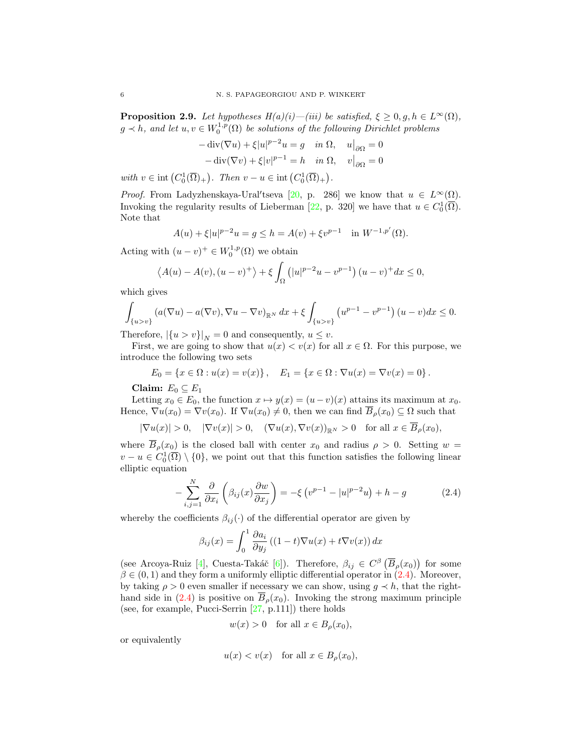<span id="page-5-1"></span>**Proposition 2.9.** Let hypotheses  $H(a)(i)$ —(iii) be satisfied,  $\xi \geq 0, g, h \in L^{\infty}(\Omega)$ ,  $g \lt h$ , and let  $u, v \in W_0^{1,p}(\Omega)$  be solutions of the following Dirichlet problems

$$
-\operatorname{div}(\nabla u) + \xi |u|^{p-2}u = g \quad \text{in } \Omega, \quad u|_{\partial\Omega} = 0
$$

$$
-\operatorname{div}(\nabla v) + \xi |v|^{p-1} = h \quad \text{in } \Omega, \quad v|_{\partial\Omega} = 0
$$

with  $v \in \text{int}(C_0^1(\overline{\Omega})_+)$ . Then  $v - u \in \text{int}(C_0^1(\overline{\Omega})_+)$ .

*Proof.* From Ladyzhenskaya-Ural'tseva [\[20,](#page-26-17) p. 286] we know that  $u \in L^{\infty}(\Omega)$ . Invoking the regularity results of Lieberman [\[22,](#page-26-11) p. 320] we have that  $u \in C_0^1(\overline{\Omega})$ . Note that

$$
A(u) + \xi |u|^{p-2}u = g \le h = A(v) + \xi v^{p-1} \quad \text{in } W^{-1,p'}(\Omega).
$$

Acting with  $(u - v)^+ \in W_0^{1,p}(\Omega)$  we obtain

$$
\langle A(u) - A(v), (u - v)^{+}\rangle + \xi \int_{\Omega} (|u|^{p-2}u - v^{p-1})(u - v)^{+}dx \le 0,
$$

which gives

$$
\int_{\{u>v\}} \left( a(\nabla u) - a(\nabla v), \nabla u - \nabla v \right)_{\mathbb{R}^N} dx + \xi \int_{\{u>v\}} \left( u^{p-1} - v^{p-1} \right) (u-v) dx \le 0.
$$

Therefore,  $|\{u > v\}|_N = 0$  and consequently,  $u \leq v$ .

First, we are going to show that  $u(x) < v(x)$  for all  $x \in \Omega$ . For this purpose, we introduce the following two sets

$$
E_0 = \{x \in \Omega : u(x) = v(x)\}, \quad E_1 = \{x \in \Omega : \nabla u(x) = \nabla v(x) = 0\}.
$$

Claim:  $E_0 \subseteq E_1$ 

Letting  $x_0 \in E_0$ , the function  $x \mapsto y(x) = (u - v)(x)$  attains its maximum at  $x_0$ . Hence,  $\nabla u(x_0) = \nabla v(x_0)$ . If  $\nabla u(x_0) \neq 0$ , then we can find  $\overline{B}_\rho(x_0) \subseteq \Omega$  such that

 $|\nabla u(x)| > 0$ ,  $|\nabla v(x)| > 0$ ,  $(\nabla u(x), \nabla v(x))_{\mathbb{R}^N} > 0$  for all  $x \in \overline{B}_\rho(x_0)$ ,

where  $\overline{B}_\rho(x_0)$  is the closed ball with center  $x_0$  and radius  $\rho > 0$ . Setting  $w =$  $v - u \in C_0^1(\overline{\Omega}) \setminus \{0\}$ , we point out that this function satisfies the following linear elliptic equation

$$
-\sum_{i,j=1}^{N} \frac{\partial}{\partial x_i} \left( \beta_{ij}(x) \frac{\partial w}{\partial x_j} \right) = -\xi \left( v^{p-1} - |u|^{p-2} u \right) + h - g \tag{2.4}
$$

whereby the coefficients  $\beta_{ij}(\cdot)$  of the differential operator are given by

<span id="page-5-0"></span>
$$
\beta_{ij}(x) = \int_0^1 \frac{\partial a_i}{\partial y_j} \left( (1-t) \nabla u(x) + t \nabla v(x) \right) dx
$$

(see Arcoya-Ruiz [\[4\]](#page-26-16), Cuesta-Takáč [\[6\]](#page-26-18)). Therefore,  $\beta_{ij} \in C^{\beta}(\overline{B}_{\rho}(x_0))$  for some  $\beta \in (0,1)$  and they form a uniformly elliptic differential operator in  $(2.4)$ . Moreover, by taking  $\rho > 0$  even smaller if necessary we can show, using  $g \prec h$ , that the right-hand side in [\(2.4\)](#page-5-0) is positive on  $B_{\rho}(x_0)$ . Invoking the strong maximum principle (see, for example, Pucci-Serrin [\[27,](#page-27-1) p.111]) there holds

$$
w(x) > 0
$$
 for all  $x \in B_{\rho}(x_0)$ ,

or equivalently

$$
u(x) < v(x)
$$
 for all  $x \in B_{\rho}(x_0)$ ,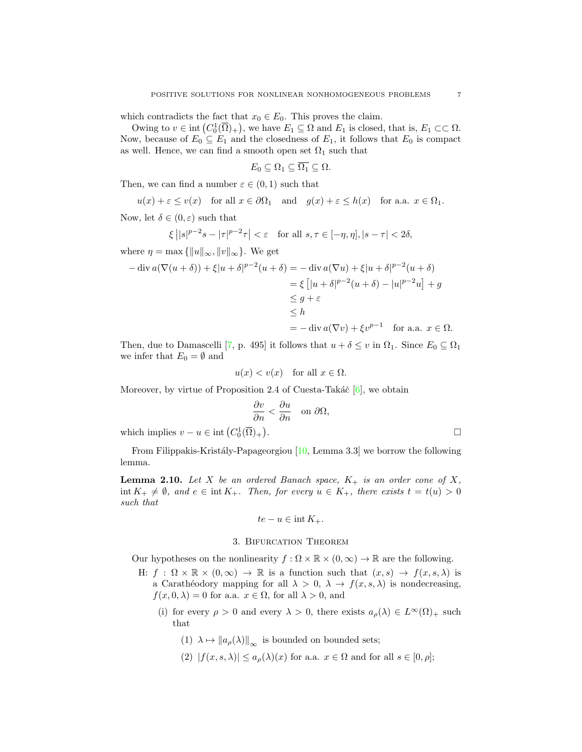which contradicts the fact that  $x_0 \in E_0$ . This proves the claim.

Owing to  $v \in \text{int}(C_0^1(\overline{\Omega})_+)$ , we have  $E_1 \subseteq \Omega$  and  $E_1$  is closed, that is,  $E_1 \subset\subset \Omega$ . Now, because of  $E_0 \subseteq E_1$  and the closedness of  $E_1$ , it follows that  $E_0$  is compact as well. Hence, we can find a smooth open set  $\Omega_1$  such that

$$
E_0 \subseteq \Omega_1 \subseteq \overline{\Omega_1} \subseteq \Omega.
$$

Then, we can find a number  $\varepsilon \in (0,1)$  such that

$$
u(x) + \varepsilon \le v(x)
$$
 for all  $x \in \partial\Omega_1$  and  $g(x) + \varepsilon \le h(x)$  for a.a.  $x \in \Omega_1$ .

Now, let  $\delta \in (0, \varepsilon)$  such that

$$
\xi \left| |s|^{p-2} s - |\tau|^{p-2} \tau \right| < \varepsilon \quad \text{for all } s, \tau \in [-\eta, \eta], |s - \tau| < 2\delta,
$$

where  $\eta = \max \{ ||u||_{\infty}, ||v||_{\infty} \}.$  We get

$$
-\operatorname{div} a(\nabla(u+\delta)) + \xi |u+\delta|^{p-2}(u+\delta) = -\operatorname{div} a(\nabla u) + \xi |u+\delta|^{p-2}(u+\delta)
$$
  

$$
= \xi [|u+\delta|^{p-2}(u+\delta) - |u|^{p-2}u] + g
$$
  

$$
\leq g+\varepsilon
$$
  

$$
\leq h
$$
  

$$
= -\operatorname{div} a(\nabla v) + \xi v^{p-1} \quad \text{for a.a. } x \in \Omega.
$$

Then, due to Damascelli [\[7,](#page-26-19) p. 495] it follows that  $u + \delta \leq v$  in  $\Omega_1$ . Since  $E_0 \subseteq \Omega_1$ we infer that  $E_0 = \emptyset$  and

$$
u(x) < v(x) \quad \text{for all } x \in \Omega.
$$

Moreover, by virtue of Proposition 2.4 of Cuesta-Takáč  $[6]$ , we obtain

$$
\frac{\partial v}{\partial n} < \frac{\partial u}{\partial n} \quad \text{on } \partial \Omega,
$$
\n
$$
+).
$$

which implies  $v - u \in \text{int}(C_0^1(\overline{\Omega})_+)$ 

From Filippakis-Kristály-Papageorgiou  $[10, \text{Lemma } 3.3]$  we borrow the following lemma.

<span id="page-6-0"></span>**Lemma 2.10.** Let X be an ordered Banach space,  $K_{+}$  is an order cone of X,  $\text{int } K_+ \neq \emptyset$ , and  $e \in \text{int } K_+$ . Then, for every  $u \in K_+$ , there exists  $t = t(u) > 0$ such that

$$
te - u \in \text{int } K_+.
$$

#### 3. Bifurcation Theorem

Our hypotheses on the nonlinearity  $f : \Omega \times \mathbb{R} \times (0, \infty) \to \mathbb{R}$  are the following.

- H:  $f : \Omega \times \mathbb{R} \times (0, \infty) \to \mathbb{R}$  is a function such that  $(x, s) \to f(x, s, \lambda)$  is a Carathéodory mapping for all  $\lambda > 0$ ,  $\lambda \to f(x, s, \lambda)$  is nondecreasing,  $f(x, 0, \lambda) = 0$  for a.a.  $x \in \Omega$ , for all  $\lambda > 0$ , and
	- (i) for every  $\rho > 0$  and every  $\lambda > 0$ , there exists  $a_{\rho}(\lambda) \in L^{\infty}(\Omega)_{+}$  such that
		- (1)  $\lambda \mapsto ||a_{\rho}(\lambda)||_{\infty}$  is bounded on bounded sets;
		- (2)  $|f(x, s, \lambda)| \leq a_{\rho}(\lambda)(x)$  for a.a.  $x \in \Omega$  and for all  $s \in [0, \rho];$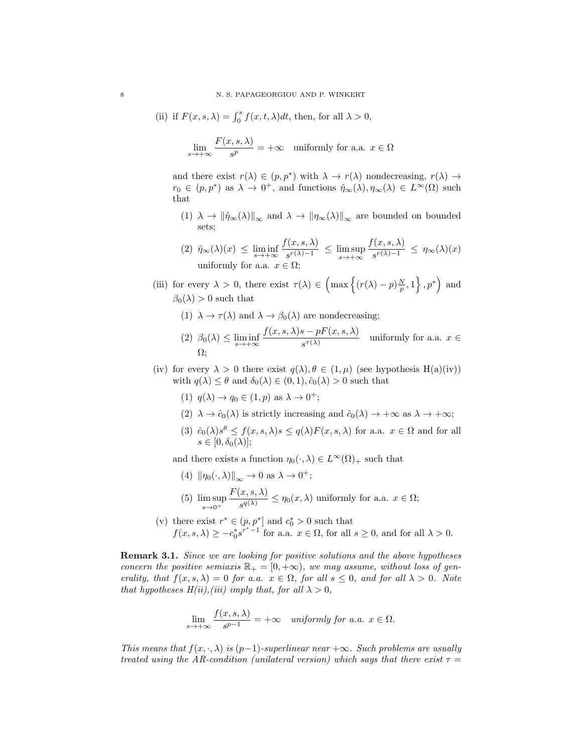(ii) if 
$$
F(x, s, \lambda) = \int_0^s f(x, t, \lambda) dt
$$
, then, for all  $\lambda > 0$ ,

$$
\lim_{s \to +\infty} \frac{F(x, s, \lambda)}{s^p} = +\infty \quad \text{uniformly for a.a. } x \in \Omega
$$

and there exist  $r(\lambda) \in (p, p^*)$  with  $\lambda \to r(\lambda)$  nondecreasing,  $r(\lambda) \to$  $r_0 \in (p, p^*)$  as  $\lambda \to 0^+$ , and functions  $\hat{\eta}_{\infty}(\lambda), \eta_{\infty}(\lambda) \in L^{\infty}(\Omega)$  such that

(1)  $\lambda \to \|\hat{\eta}_{\infty}(\lambda)\|_{\infty}$  and  $\lambda \to \|\eta_{\infty}(\lambda)\|_{\infty}$  are bounded on bounded sets;

(2) 
$$
\hat{\eta}_{\infty}(\lambda)(x) \le \liminf_{s \to +\infty} \frac{f(x, s, \lambda)}{s^{r(\lambda)-1}} \le \limsup_{s \to +\infty} \frac{f(x, s, \lambda)}{s^{r(\lambda)-1}} \le \eta_{\infty}(\lambda)(x)
$$
  
uniformly for a.a.  $x \in \Omega$ ;

- (iii) for every  $\lambda > 0$ , there exist  $\tau(\lambda) \in \left( \max \left\{ (r(\lambda) p) \frac{N}{p}, 1 \right\}, p^* \right)$  and  $\beta_0(\lambda) > 0$  such that
	- (1)  $\lambda \to \tau(\lambda)$  and  $\lambda \to \beta_0(\lambda)$  are nondecreasing;
	- (2)  $\beta_0(\lambda) \leq \liminf_{s \to +\infty}$  $f(x, s, \lambda)s - pF(x, s, \lambda)$  $\frac{\partial F}{\partial s^{\tau(\lambda)}}$  uniformly for a.a.  $x \in$ Ω;
- (iv) for every  $\lambda > 0$  there exist  $q(\lambda), \theta \in (1, \mu)$  (see hypothesis H(a)(iv)) with  $q(\lambda) \leq \theta$  and  $\delta_0(\lambda) \in (0,1), \hat{c}_0(\lambda) > 0$  such that
	- (1)  $q(\lambda) \rightarrow q_0 \in (1, p)$  as  $\lambda \rightarrow 0^+$ ;
	- (2)  $\lambda \to \hat{c}_0(\lambda)$  is strictly increasing and  $\hat{c}_0(\lambda) \to +\infty$  as  $\lambda \to +\infty$ ;
	- (3)  $\hat{c}_0(\lambda)s^{\theta} \le f(x, s, \lambda)s \le q(\lambda)F(x, s, \lambda)$  for a.a.  $x \in \Omega$  and for all  $s \in [0, \delta_0(\lambda)];$

and there exists a function  $\eta_0(\cdot, \lambda) \in L^{\infty}(\Omega)_+$  such that

- (4)  $\|\eta_0(\cdot,\lambda)\|_{\infty} \to 0$  as  $\lambda \to 0^+$ ;
- (5) lim sup  $s\rightarrow 0^+$  $F(x, s, \lambda)$  $\frac{\partial(x, \theta, \lambda)}{\partial g(x)} \leq \eta_0(x, \lambda)$  uniformly for a.a.  $x \in \Omega$ ;
- (v) there exist  $r^* \in (p, p^*]$  and  $c_0^* > 0$  such that  $f(x, s, \lambda) \ge -c_0^* s^{r^* - 1}$  for a.a.  $x \in \Omega$ , for all  $s \ge 0$ , and for all  $\lambda > 0$ .

**Remark 3.1.** Since we are looking for positive solutions and the above hypotheses concern the positive semiaxis  $\mathbb{R}_+ = [0, +\infty)$ , we may assume, without loss of generality, that  $f(x, s, \lambda) = 0$  for a.a.  $x \in \Omega$ , for all  $s \leq 0$ , and for all  $\lambda > 0$ . Note that hypotheses  $H(ii)$ , (iii) imply that, for all  $\lambda > 0$ ,

$$
\lim_{s \to +\infty} \frac{f(x, s, \lambda)}{s^{p-1}} = +\infty \quad \text{uniformly for a.a. } x \in \Omega.
$$

This means that  $f(x, \cdot, \lambda)$  is (p−1)-superlinear near  $+\infty$ . Such problems are usually treated using the AR-condition (unilateral version) which says that there exist  $\tau =$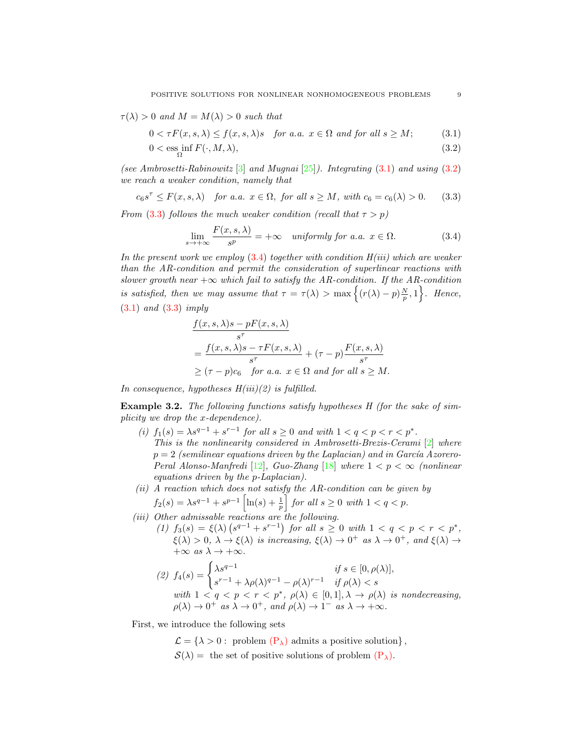$\tau(\lambda) > 0$  and  $M = M(\lambda) > 0$  such that

$$
0 < \tau F(x, s, \lambda) \le f(x, s, \lambda)s \quad \text{for a.a. } x \in \Omega \text{ and for all } s \ge M; \tag{3.1}
$$

$$
0 < \operatorname{ess\,inf}_{\Omega} F(\cdot, M, \lambda),\tag{3.2}
$$

(see Ambrosetti-Rabinowitz  $[3]$  and Mugnai  $[25]$ ). Integrating  $(3.1)$  and using  $(3.2)$ we reach a weaker condition, namely that

$$
c_6s^{\tau} \le F(x, s, \lambda) \quad \text{for a.a. } x \in \Omega, \text{ for all } s \ge M, \text{ with } c_6 = c_6(\lambda) > 0. \tag{3.3}
$$

From [\(3.3\)](#page-8-2) follows the much weaker condition (recall that  $\tau > p$ )

<span id="page-8-3"></span><span id="page-8-2"></span><span id="page-8-1"></span><span id="page-8-0"></span>
$$
\lim_{s \to +\infty} \frac{F(x, s, \lambda)}{s^p} = +\infty \quad \text{uniformly for a.a. } x \in \Omega. \tag{3.4}
$$

In the present work we employ  $(3.4)$  together with condition  $H(iii)$  which are weaker than the AR-condition and permit the consideration of superlinear reactions with slower growth near  $+\infty$  which fail to satisfy the AR-condition. If the AR-condition is satisfied, then we may assume that  $\tau = \tau(\lambda) > \max\left\{ (r(\lambda) - p)\frac{N}{p}, 1 \right\}$ . Hence, [\(3.1\)](#page-8-0) and [\(3.3\)](#page-8-2) imply

$$
\frac{f(x, s, \lambda)s - pF(x, s, \lambda)}{s^{\tau}}
$$
\n
$$
= \frac{f(x, s, \lambda)s - \tau F(x, s, \lambda)}{s^{\tau}} + (\tau - p) \frac{F(x, s, \lambda)}{s^{\tau}}
$$
\n
$$
\geq (\tau - p)c_6 \quad \text{for a.a. } x \in \Omega \text{ and for all } s \geq M.
$$

In consequence, hypotheses  $H(iii)(2)$  is fulfilled.

Example 3.2. The following functions satisfy hypotheses H (for the sake of simplicity we drop the x-dependence).

- (i)  $f_1(s) = \lambda s^{q-1} + s^{r-1}$  for all  $s \ge 0$  and with  $1 < q < p < r < p^*$ . This is the nonlinearity considered in Ambrosetti-Brezis-Cerami [\[2\]](#page-26-0) where  $p = 2$  (semilinear equations driven by the Laplacian) and in García Azorero-Peral Alonso-Manfredi [\[12\]](#page-26-5), Guo-Zhang [\[18\]](#page-26-6) where  $1 < p < \infty$  (nonlinear equations driven by the p-Laplacian).
- $(ii)$  A reaction which does not satisfy the AR-condition can be given by

$$
f_2(s) = \lambda s^{q-1} + s^{p-1} \left[ \ln(s) + \frac{1}{p} \right] \text{ for all } s \ge 0 \text{ with } 1 < q < p.
$$

(iii) Other admissable reactions are the following.

(1)  $f_3(s) = \xi(\lambda) (s^{q-1} + s^{r-1})$  for all  $s \geq 0$  with  $1 < q < p < r < p^*$ ,  $\xi(\lambda) > 0, \ \lambda \to \xi(\lambda)$  is increasing,  $\xi(\lambda) \to 0^+$  as  $\lambda \to 0^+$ , and  $\xi(\lambda) \to 0$  $+\infty$  as  $\lambda \to +\infty$ .

(2) 
$$
f_4(s) = \begin{cases} \lambda s^{q-1} & \text{if } s \in [0, \rho(\lambda)], \\ s^{r-1} + \lambda \rho(\lambda)^{q-1} - \rho(\lambda)^{r-1} & \text{if } \rho(\lambda) < s \end{cases}
$$
  
with  $1 < q < p < r < p^*$ ,  $\rho(\lambda) \in [0, 1], \lambda \to \rho(\lambda)$  is nondecreasing,  
 $\rho(\lambda) \to 0^+$  as  $\lambda \to 0^+$ , and  $\rho(\lambda) \to 1^-$  as  $\lambda \to +\infty$ .

First, we introduce the following sets

 $\mathcal{L} = \{\lambda > 0: \text{ problem } (\mathbf{P}_{\lambda}) \text{ admits a positive solution}\},$  $\mathcal{S}(\lambda) =$  the set of positive solutions of problem  $(\mathbf{P}_{\lambda})$ .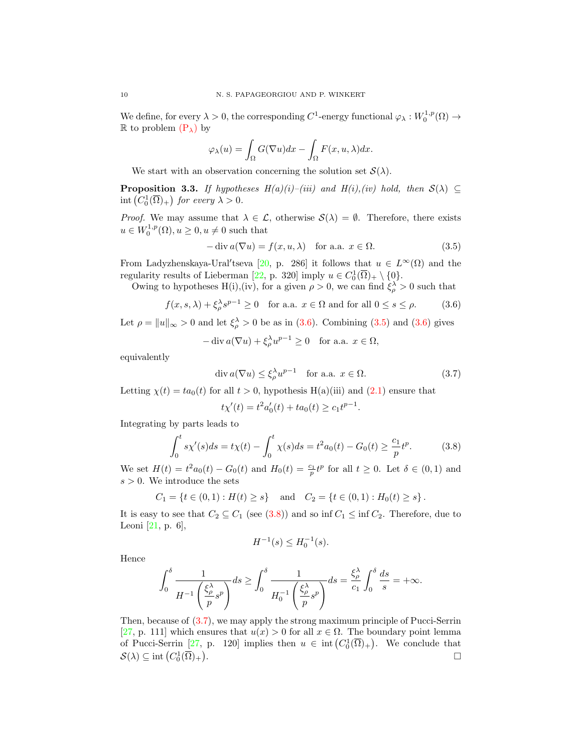We define, for every  $\lambda > 0$ , the corresponding  $C^1$ -energy functional  $\varphi_\lambda : W_0^{1,p}(\Omega) \to$ R to problem  $(P_\lambda)$  $(P_\lambda)$  by

$$
\varphi_{\lambda}(u) = \int_{\Omega} G(\nabla u) dx - \int_{\Omega} F(x, u, \lambda) dx.
$$

We start with an observation concerning the solution set  $\mathcal{S}(\lambda)$ .

<span id="page-9-4"></span>**Proposition 3.3.** If hypotheses  $H(a)(i)$ –(iii) and  $H(i),(iv)$  hold, then  $S(\lambda) \subseteq$  $\text{int}\left(C_0^1(\overline{\Omega})_+\right)$  for every  $\lambda > 0$ .

*Proof.* We may assume that  $\lambda \in \mathcal{L}$ , otherwise  $\mathcal{S}(\lambda) = \emptyset$ . Therefore, there exists  $u \in W_0^{1,p}(\Omega), u \geq 0, u \neq 0$  such that

<span id="page-9-1"></span>
$$
-\operatorname{div} a(\nabla u) = f(x, u, \lambda) \quad \text{for a.a. } x \in \Omega.
$$
 (3.5)

From Ladyzhenskaya-Ural'tseva [\[20,](#page-26-17) p. 286] it follows that  $u \in L^{\infty}(\Omega)$  and the regularity results of Lieberman [\[22,](#page-26-11) p. 320] imply  $u \in C_0^1(\overline{\Omega})_+ \setminus \{0\}.$ 

Owing to hypotheses H(i),(iv), for a given  $\rho > 0$ , we can find  $\xi_{\rho}^{\lambda} > 0$  such that

$$
f(x, s, \lambda) + \xi_{\rho}^{\lambda} s^{p-1} \ge 0 \quad \text{for a.a. } x \in \Omega \text{ and for all } 0 \le s \le \rho. \tag{3.6}
$$

Let  $\rho = ||u||_{\infty} > 0$  and let  $\xi_{\rho}^{\lambda} > 0$  be as in [\(3.6\)](#page-9-0). Combining [\(3.5\)](#page-9-1) and (3.6) gives

$$
-\operatorname{div} a(\nabla u) + \xi_{\rho}^{\lambda} u^{p-1} \ge 0 \quad \text{for a.a. } x \in \Omega,
$$

equivalently

<span id="page-9-0"></span>
$$
\operatorname{div} a(\nabla u) \le \xi_{\rho}^{\lambda} u^{p-1} \quad \text{for a.a. } x \in \Omega. \tag{3.7}
$$

Letting  $\chi(t) = ta_0(t)$  for all  $t > 0$ , hypothesis H(a)(iii) and [\(2.1\)](#page-2-0) ensure that

<span id="page-9-3"></span>
$$
t\chi'(t) = t^2 a'_0(t) + t a_0(t) \ge c_1 t^{p-1}.
$$

Integrating by parts leads to

$$
\int_0^t s\chi'(s)ds = t\chi(t) - \int_0^t \chi(s)ds = t^2 a_0(t) - G_0(t) \ge \frac{c_1}{p}t^p.
$$
 (3.8)

We set  $H(t) = t^2 a_0(t) - G_0(t)$  and  $H_0(t) = \frac{c_1}{p} t^p$  for all  $t \ge 0$ . Let  $\delta \in (0,1)$  and  $s > 0$ . We introduce the sets

$$
C_1 = \{ t \in (0,1) : H(t) \ge s \} \quad \text{and} \quad C_2 = \{ t \in (0,1) : H_0(t) \ge s \} \, .
$$

It is easy to see that  $C_2 \subseteq C_1$  (see [\(3.8\)](#page-9-2)) and so inf  $C_1 \leq \inf C_2$ . Therefore, due to Leoni [\[21,](#page-26-20) p. 6],

<span id="page-9-2"></span>
$$
H^{-1}(s) \le H_0^{-1}(s).
$$

Hence

$$
\int_0^\delta \frac{1}{H^{-1}\left(\frac{\xi_\rho^{\lambda}}{p}s^p\right)}ds \ge \int_0^\delta \frac{1}{H_0^{-1}\left(\frac{\xi_\rho^{\lambda}}{p}s^p\right)}ds = \frac{\xi_\rho^{\lambda}}{c_1}\int_0^\delta \frac{ds}{s} = +\infty.
$$

Then, because of [\(3.7\)](#page-9-3), we may apply the strong maximum principle of Pucci-Serrin [\[27,](#page-27-1) p. 111] which ensures that  $u(x) > 0$  for all  $x \in \Omega$ . The boundary point lemma of Pucci-Serrin [\[27,](#page-27-1) p. 120] implies then  $u \in \text{int}(C_0^1(\overline{\Omega})_+)$ . We conclude that  $\mathcal{S}(\lambda) \subseteq \text{int}\left(C_0^1(\overline{\Omega})_+\right)$ . В последните поставите на селото на селото на селото на селото на селото на селото на селото на селото на се<br>Селото на селото на селото на селото на селото на селото на селото на селото на селото на селото на селото на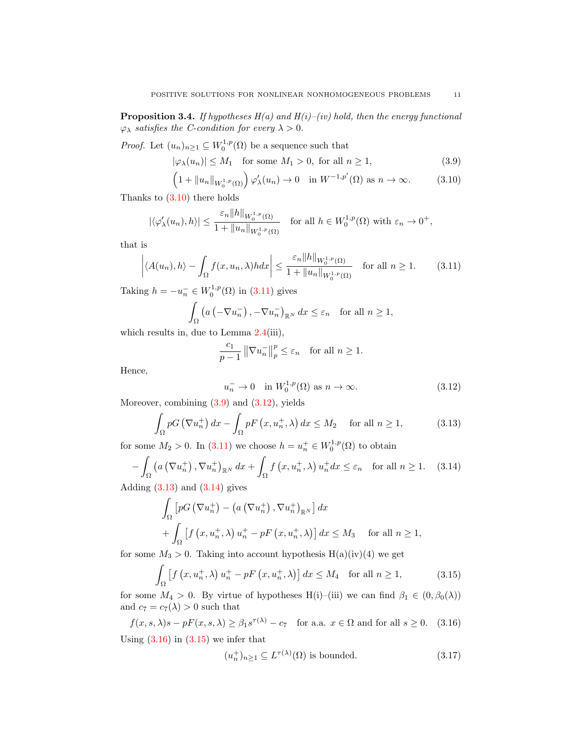<span id="page-10-9"></span>**Proposition 3.4.** If hypotheses  $H(a)$  and  $H(i)$ –(iv) hold, then the energy functional  $\varphi_{\lambda}$  satisfies the *C*-condition for every  $\lambda > 0$ .

*Proof.* Let  $(u_n)_{n\geq 1} \subseteq W_0^{1,p}(\Omega)$  be a sequence such that

<span id="page-10-2"></span><span id="page-10-0"></span>
$$
|\varphi_{\lambda}(u_n)| \le M_1 \quad \text{for some } M_1 > 0, \text{ for all } n \ge 1,
$$
\n(3.9)

$$
\left(1 + \|u_n\|_{W_0^{1,p}(\Omega)}\right)\varphi_\lambda'(u_n) \to 0 \quad \text{in } W^{-1,p'}(\Omega) \text{ as } n \to \infty. \tag{3.10}
$$

Thanks to [\(3.10\)](#page-10-0) there holds

$$
|\langle \varphi'_{\lambda}(u_n), h \rangle| \leq \frac{\varepsilon_n \|h\|_{W_0^{1,p}(\Omega)}}{1 + \|u_n\|_{W_0^{1,p}(\Omega)}} \quad \text{for all } h \in W_0^{1,p}(\Omega) \text{ with } \varepsilon_n \to 0^+,
$$

that is

$$
\left| \langle A(u_n), h \rangle - \int_{\Omega} f(x, u_n, \lambda) h dx \right| \leq \frac{\varepsilon_n \|h\|_{W_0^{1, p}(\Omega)}}{1 + \|u_n\|_{W_0^{1, p}(\Omega)}} \quad \text{for all } n \geq 1. \tag{3.11}
$$

Taking  $h = -u_n^- \in W_0^{1,p}(\Omega)$  in  $(3.11)$  gives

$$
\int_{\Omega} \left( a \left( -\nabla u_n^- \right), -\nabla u_n^- \right)_{\mathbb{R}^N} dx \le \varepsilon_n \quad \text{for all } n \ge 1,
$$

which results in, due to Lemma  $2.4(iii)$  $2.4(iii)$ ,

<span id="page-10-1"></span>
$$
\frac{c_1}{p-1} \left\| \nabla u_n^-\right\|_p^p \le \varepsilon_n \quad \text{for all } n \ge 1.
$$

Hence,

<span id="page-10-5"></span><span id="page-10-4"></span><span id="page-10-3"></span>
$$
u_n^- \to 0 \quad \text{in } W_0^{1,p}(\Omega) \text{ as } n \to \infty. \tag{3.12}
$$

Moreover, combining  $(3.9)$  and  $(3.12)$ , yields

$$
\int_{\Omega} pG\left(\nabla u_n^+\right)dx - \int_{\Omega} pF\left(x, u_n^+, \lambda\right)dx \le M_2 \quad \text{for all } n \ge 1,
$$
\n(3.13)

for some  $M_2 > 0$ . In [\(3.11\)](#page-10-1) we choose  $h = u_n^+ \in W_0^{1,p}(\Omega)$  to obtain

$$
-\int_{\Omega} \left( a\left(\nabla u_n^+\right), \nabla u_n^+\right)_{\mathbb{R}^N} dx + \int_{\Omega} f\left(x, u_n^+, \lambda\right) u_n^+ dx \le \varepsilon_n \quad \text{for all } n \ge 1. \tag{3.14}
$$

Adding  $(3.13)$  and  $(3.14)$  gives

$$
\int_{\Omega} \left[ pG\left(\nabla u_n^+\right) - \left(a\left(\nabla u_n^+\right), \nabla u_n^+\right)_{\mathbb{R}^N} \right] dx
$$
\n
$$
+ \int_{\Omega} \left[ f\left(x, u_n^+, \lambda\right) u_n^+ - pF\left(x, u_n^+, \lambda\right) \right] dx \leq M_3 \quad \text{for all } n \geq 1,
$$

for some  $M_3 > 0$ . Taking into account hypothesis  $H(a)(iv)(4)$  we get

$$
\int_{\Omega} \left[ f \left( x, u_n^+, \lambda \right) u_n^+ - p F \left( x, u_n^+, \lambda \right) \right] dx \le M_4 \quad \text{for all } n \ge 1,
$$
\n(3.15)

for some  $M_4 > 0$ . By virtue of hypotheses H(i)–(iii) we can find  $\beta_1 \in (0, \beta_0(\lambda))$ and  $c_7 = c_7(\lambda) > 0$  such that

$$
f(x, s, \lambda)s - pF(x, s, \lambda) \ge \beta_1 s^{\tau(\lambda)} - c_7 \quad \text{for a.a. } x \in \Omega \text{ and for all } s \ge 0. \tag{3.16}
$$
  
Using (3.16) in (3.15) we infer that

<span id="page-10-8"></span><span id="page-10-7"></span><span id="page-10-6"></span>
$$
(u_n^+)_{n\geq 1} \subseteq L^{\tau(\lambda)}(\Omega) \text{ is bounded.}
$$
\n(3.17)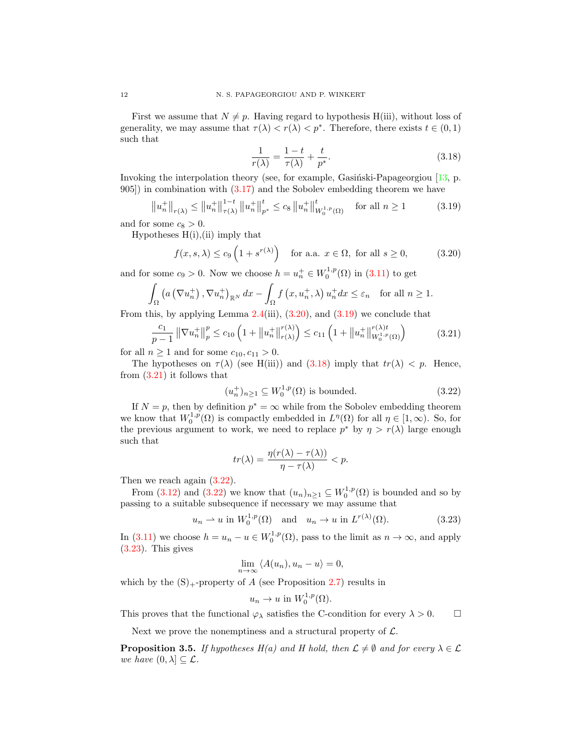First we assume that  $N \neq p$ . Having regard to hypothesis H(iii), without loss of generality, we may assume that  $\tau(\lambda) < \tau(\lambda) < p^*$ . Therefore, there exists  $t \in (0,1)$ such that

<span id="page-11-2"></span><span id="page-11-1"></span><span id="page-11-0"></span>
$$
\frac{1}{r(\lambda)} = \frac{1-t}{\tau(\lambda)} + \frac{t}{p^*}.\tag{3.18}
$$

Invoking the interpolation theory (see, for example, Gasiński-Papageorgiou  $[13, p$ . 905]) in combination with [\(3.17\)](#page-10-8) and the Sobolev embedding theorem we have

$$
\left\|u_{n}^{+}\right\|_{r(\lambda)} \leq \left\|u_{n}^{+}\right\|_{\tau(\lambda)}^{1-t} \left\|u_{n}^{+}\right\|_{p^{*}}^{t} \leq c_{8} \left\|u_{n}^{+}\right\|_{W_{0}^{1,p}(\Omega)}^{t} \quad \text{for all } n \geq 1 \tag{3.19}
$$

and for some  $c_8 > 0$ .

Hypotheses  $H(i)$ , (ii) imply that

$$
f(x, s, \lambda) \le c_9 \left( 1 + s^{r(\lambda)} \right) \quad \text{for a.a. } x \in \Omega, \text{ for all } s \ge 0,
$$
 (3.20)

and for some  $c_9 > 0$ . Now we choose  $h = u_n^+ \in W_0^{1,p}(\Omega)$  in  $(3.11)$  to get

$$
\int_{\Omega} \left( a\left(\nabla u_n^+\right), \nabla u_n^+\right)_{\mathbb{R}^N} dx - \int_{\Omega} f\left(x, u_n^+, \lambda\right) u_n^+ dx \le \varepsilon_n \quad \text{for all } n \ge 1.
$$

From this, by applying Lemma  $2.4(iii)$  $2.4(iii)$ ,  $(3.20)$ , and  $(3.19)$  we conclude that

$$
\frac{c_1}{p-1} \left\| \nabla u_n^+ \right\|_p^p \le c_{10} \left( 1 + \left\| u_n^+ \right\|_{r(\lambda)}^{r(\lambda)} \right) \le c_{11} \left( 1 + \left\| u_n^+ \right\|_{W_0^{1,p}(\Omega)}^{r(\lambda)t} \right) \tag{3.21}
$$

for all  $n \geq 1$  and for some  $c_{10}, c_{11} > 0$ .

The hypotheses on  $\tau(\lambda)$  (see H(iii)) and [\(3.18\)](#page-11-2) imply that  $tr(\lambda) < p$ . Hence, from  $(3.21)$  it follows that

<span id="page-11-4"></span><span id="page-11-3"></span>
$$
(u_n^+)_{n\geq 1} \subseteq W_0^{1,p}(\Omega) \text{ is bounded.}
$$
\n
$$
(3.22)
$$

If  $N = p$ , then by definition  $p^* = \infty$  while from the Sobolev embedding theorem we know that  $W_0^{1,p}(\Omega)$  is compactly embedded in  $L^{\eta}(\Omega)$  for all  $\eta \in [1,\infty)$ . So, for the previous argument to work, we need to replace  $p^*$  by  $\eta > r(\lambda)$  large enough such that

$$
tr(\lambda) = \frac{\eta(r(\lambda) - \tau(\lambda))}{\eta - \tau(\lambda)} < p.
$$

Then we reach again  $(3.22)$ .

From [\(3.12\)](#page-10-3) and [\(3.22\)](#page-11-4) we know that  $(u_n)_{n\geq 1} \subseteq W_0^{1,p}(\Omega)$  is bounded and so by passing to a suitable subsequence if necessary we may assume that

$$
u_n \rightharpoonup u
$$
 in  $W_0^{1,p}(\Omega)$  and  $u_n \rightharpoonup u$  in  $L^{r(\lambda)}(\Omega)$ . (3.23)

In [\(3.11\)](#page-10-1) we choose  $h = u_n - u \in W_0^{1,p}(\Omega)$ , pass to the limit as  $n \to \infty$ , and apply [\(3.23\)](#page-11-5). This gives

<span id="page-11-5"></span>
$$
\lim_{n \to \infty} \langle A(u_n), u_n - u \rangle = 0,
$$

which by the  $(S)$ <sub>+</sub>-property of A (see Proposition [2.7\)](#page-4-1) results in

$$
u_n \to u \text{ in } W_0^{1,p}(\Omega).
$$

This proves that the functional  $\varphi_{\lambda}$  satisfies the C-condition for every  $\lambda > 0$ .

Next we prove the nonemptiness and a structural property of  $\mathcal{L}$ .

<span id="page-11-6"></span>**Proposition 3.5.** If hypotheses  $H(a)$  and H hold, then  $\mathcal{L} \neq \emptyset$  and for every  $\lambda \in \mathcal{L}$ we have  $(0, \lambda] \subseteq \mathcal{L}$ .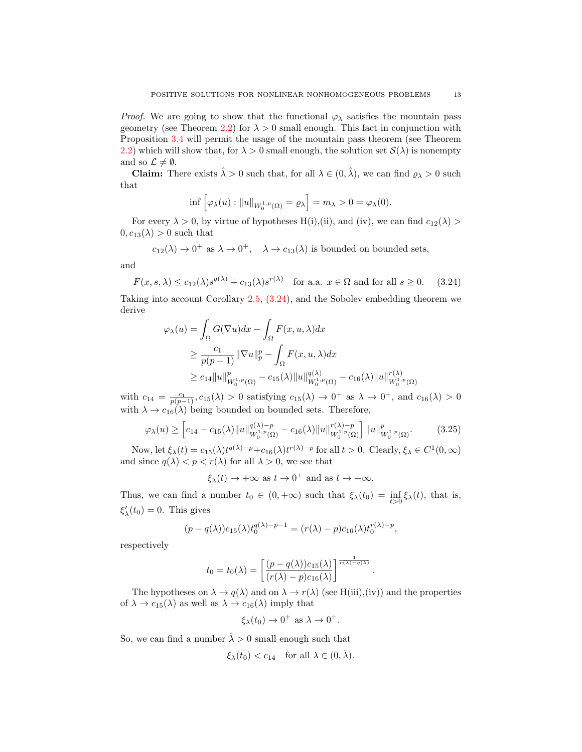*Proof.* We are going to show that the functional  $\varphi_{\lambda}$  satisfies the mountain pass geometry (see Theorem [2.2\)](#page-1-0) for  $\lambda > 0$  small enough. This fact in conjunction with Proposition [3.4](#page-10-9) will permit the usage of the mountain pass theorem (see Theorem [2.2\)](#page-1-0) which will show that, for  $\lambda > 0$  small enough, the solution set  $\mathcal{S}(\lambda)$  is nonempty and so  $\mathcal{L} \neq \emptyset$ .

**Claim:** There exists  $\hat{\lambda} > 0$  such that, for all  $\lambda \in (0, \hat{\lambda})$ , we can find  $\varrho_{\lambda} > 0$  such that

<span id="page-12-0"></span>
$$
\inf \left[ \varphi_{\lambda}(u) : \|u\|_{W_0^{1,p}(\Omega)} = \varrho_{\lambda} \right] = m_{\lambda} > 0 = \varphi_{\lambda}(0).
$$

For every  $\lambda > 0$ , by virtue of hypotheses H(i),(ii), and (iv), we can find  $c_{12}(\lambda) >$  $0, c_{13}(\lambda) > 0$  such that

$$
c_{12}(\lambda) \to 0^+
$$
 as  $\lambda \to 0^+$ ,  $\lambda \to c_{13}(\lambda)$  is bounded on bounded sets,

and

$$
F(x, s, \lambda) \le c_{12}(\lambda)s^{q(\lambda)} + c_{13}(\lambda)s^{r(\lambda)} \quad \text{for a.a. } x \in \Omega \text{ and for all } s \ge 0. \tag{3.24}
$$

Taking into account Corollary [2.5,](#page-3-2) [\(3.24\)](#page-12-0), and the Sobolev embedding theorem we derive

$$
\varphi_{\lambda}(u) = \int_{\Omega} G(\nabla u) dx - \int_{\Omega} F(x, u, \lambda) dx
$$
  
\n
$$
\geq \frac{c_1}{p(p-1)} ||\nabla u||_p^p - \int_{\Omega} F(x, u, \lambda) dx
$$
  
\n
$$
\geq c_{14} ||u||_{W_0^{1,p}(\Omega)}^p - c_{15}(\lambda) ||u||_{W_0^{1,p}(\Omega)}^{q(\lambda)} - c_{16}(\lambda) ||u||_{W_0^{1,p}(\Omega)}^{r(\lambda)}
$$

with  $c_{14} = \frac{c_1}{p(p-1)}, c_{15}(\lambda) > 0$  satisfying  $c_{15}(\lambda) \rightarrow 0^+$  as  $\lambda \rightarrow 0^+$ , and  $c_{16}(\lambda) > 0$ with  $\lambda \to c_{16}(\lambda)$  being bounded on bounded sets. Therefore,

$$
\varphi_{\lambda}(u) \ge \left[c_{14} - c_{15}(\lambda) \|u\|_{W_0^{1,p}(\Omega)}^{q(\lambda)-p} - c_{16}(\lambda) \|u\|_{W_0^{1,p}(\Omega)}^{r(\lambda)-p} \right] \|u\|_{W_0^{1,p}(\Omega)}^p. \tag{3.25}
$$

Now, let  $\xi_{\lambda}(t) = c_{15}(\lambda)t^{q(\lambda)-p} + c_{16}(\lambda)t^{r(\lambda)-p}$  for all  $t > 0$ . Clearly,  $\xi_{\lambda} \in C^1(0, \infty)$ and since  $q(\lambda) < p < r(\lambda)$  for all  $\lambda > 0$ , we see that

<span id="page-12-1"></span>
$$
\xi_{\lambda}(t) \rightarrow +\infty
$$
 as  $t \rightarrow 0^{+}$  and as  $t \rightarrow +\infty$ .

Thus, we can find a number  $t_0 \in (0, +\infty)$  such that  $\xi_\lambda(t_0) = \inf_{t>0} \xi_\lambda(t)$ , that is,  $\xi'_{\lambda}(t_0) = 0$ . This gives

$$
(p - q(\lambda))c_{15}(\lambda)t_0^{q(\lambda)-p-1} = (r(\lambda) - p)c_{16}(\lambda)t_0^{r(\lambda)-p},
$$

respectively

$$
t_0 = t_0(\lambda) = \left[ \frac{(p - q(\lambda))c_{15}(\lambda)}{(r(\lambda) - p)c_{16}(\lambda)} \right]^{\frac{1}{r(\lambda) - q(\lambda)}}.
$$

The hypotheses on  $\lambda \to q(\lambda)$  and on  $\lambda \to r(\lambda)$  (see H(iii),(iv)) and the properties of  $\lambda \to c_{15}(\lambda)$  as well as  $\lambda \to c_{16}(\lambda)$  imply that

$$
\xi_{\lambda}(t_0) \to 0^+ \text{ as } \lambda \to 0^+.
$$

So, we can find a number  $\hat{\lambda} > 0$  small enough such that

$$
\xi_{\lambda}(t_0) < c_{14} \quad \text{for all } \lambda \in (0, \hat{\lambda}).
$$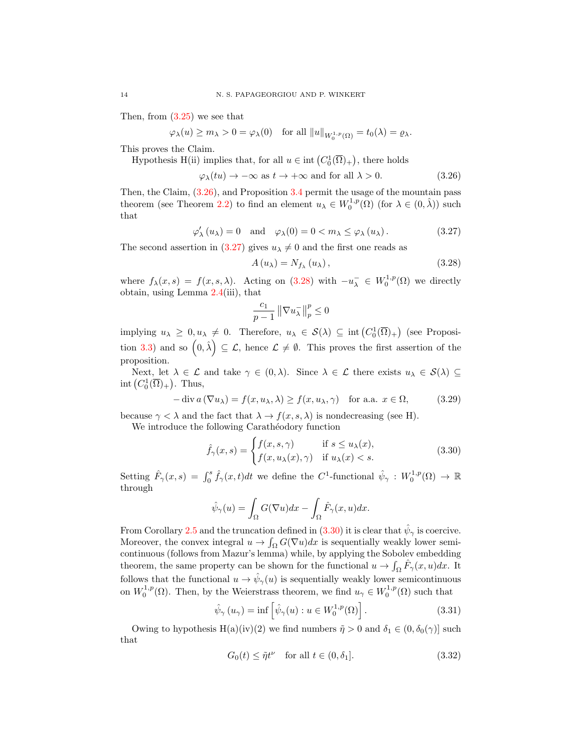Then, from [\(3.25\)](#page-12-1) we see that

$$
\varphi_{\lambda}(u) \ge m_{\lambda} > 0 = \varphi_{\lambda}(0) \text{ for all } ||u||_{W_0^{1,p}(\Omega)} = t_0(\lambda) = \varrho_{\lambda}.
$$

This proves the Claim.

Hypothesis H(ii) implies that, for all  $u \in \text{int}(C_0^1(\overline{\Omega})_+)$ , there holds

$$
\varphi_{\lambda}(tu) \to -\infty \text{ as } t \to +\infty \text{ and for all } \lambda > 0. \tag{3.26}
$$

Then, the Claim, [\(3.26\)](#page-13-0), and Proposition [3.4](#page-10-9) permit the usage of the mountain pass theorem (see Theorem [2.2\)](#page-1-0) to find an element  $u_{\lambda} \in W_0^{1,p}(\Omega)$  (for  $\lambda \in (0, \hat{\lambda})$ ) such that

$$
\varphi'_{\lambda}(u_{\lambda}) = 0
$$
 and  $\varphi_{\lambda}(0) = 0 < m_{\lambda} \leq \varphi_{\lambda}(u_{\lambda}).$ \n
$$
(3.27)
$$

The second assertion in [\(3.27\)](#page-13-1) gives  $u_{\lambda} \neq 0$  and the first one reads as

<span id="page-13-2"></span><span id="page-13-1"></span><span id="page-13-0"></span>
$$
A(u_{\lambda}) = N_{f_{\lambda}}(u_{\lambda}), \qquad (3.28)
$$

where  $f_{\lambda}(x, s) = f(x, s, \lambda)$ . Acting on [\(3.28\)](#page-13-2) with  $-u_{\lambda}^- \in W_0^{1,p}(\Omega)$  we directly obtain, using Lemma [2.4\(](#page-3-1)iii), that

<span id="page-13-6"></span>
$$
\frac{c_1}{p-1}\left\|\nabla u_\lambda^-\right\|_p^p\leq 0
$$

implying  $u_{\lambda} \geq 0, u_{\lambda} \neq 0$ . Therefore,  $u_{\lambda} \in S(\lambda) \subseteq \text{int}(C_0^1(\overline{\Omega})_+)$  (see Proposi-tion [3.3\)](#page-9-4) and so  $(0, \hat{\lambda}) \subseteq \mathcal{L}$ , hence  $\mathcal{L} \neq \emptyset$ . This proves the first assertion of the proposition.

Next, let  $\lambda \in \mathcal{L}$  and take  $\gamma \in (0, \lambda)$ . Since  $\lambda \in \mathcal{L}$  there exists  $u_{\lambda} \in \mathcal{S}(\lambda) \subseteq$ int  $(C_0^1(\overline{\Omega})_+)$ . Thus,

$$
-\operatorname{div} a(\nabla u_\lambda) = f(x, u_\lambda, \lambda) \ge f(x, u_\lambda, \gamma) \quad \text{for a.a. } x \in \Omega,
$$
 (3.29)

because  $\gamma < \lambda$  and the fact that  $\lambda \to f(x, s, \lambda)$  is nondecreasing (see H).

We introduce the following Carathéodory function

<span id="page-13-3"></span>
$$
\hat{f}_{\gamma}(x,s) = \begin{cases} f(x,s,\gamma) & \text{if } s \le u_{\lambda}(x), \\ f(x,u_{\lambda}(x),\gamma) & \text{if } u_{\lambda}(x) < s. \end{cases}
$$
\n(3.30)

Setting  $\hat{F}_{\gamma}(x,s) = \int_0^s \hat{f}_{\gamma}(x,t)dt$  we define the C<sup>1</sup>-functional  $\hat{\psi}_{\gamma}: W_0^{1,p}(\Omega) \to \mathbb{R}$ through

$$
\hat{\psi}_{\gamma}(u) = \int_{\Omega} G(\nabla u) dx - \int_{\Omega} \hat{F}_{\gamma}(x, u) dx.
$$

From Corollary [2.5](#page-3-2) and the truncation defined in [\(3.30\)](#page-13-3) it is clear that  $\hat{\psi}_{\gamma}$  is coercive. Moreover, the convex integral  $u \to \int_{\Omega} G(\nabla u) dx$  is sequentially weakly lower semicontinuous (follows from Mazur's lemma) while, by applying the Sobolev embedding theorem, the same property can be shown for the functional  $u \to \int_{\Omega} \hat{F}_{\gamma}(x, u) dx$ . It follows that the functional  $u \to \hat{\psi}_{\gamma}(u)$  is sequentially weakly lower semicontinuous on  $W_0^{1,p}(\Omega)$ . Then, by the Weierstrass theorem, we find  $u_\gamma \in W_0^{1,p}(\Omega)$  such that

$$
\hat{\psi}_{\gamma}(u_{\gamma}) = \inf \left[ \hat{\psi}_{\gamma}(u) : u \in W_0^{1,p}(\Omega) \right]. \tag{3.31}
$$

Owing to hypothesis H(a)(iv)(2) we find numbers  $\tilde{\eta} > 0$  and  $\delta_1 \in (0, \delta_0(\gamma)]$  such that

<span id="page-13-5"></span><span id="page-13-4"></span>
$$
G_0(t) \leq \tilde{\eta}t^{\nu} \quad \text{for all } t \in (0, \delta_1]. \tag{3.32}
$$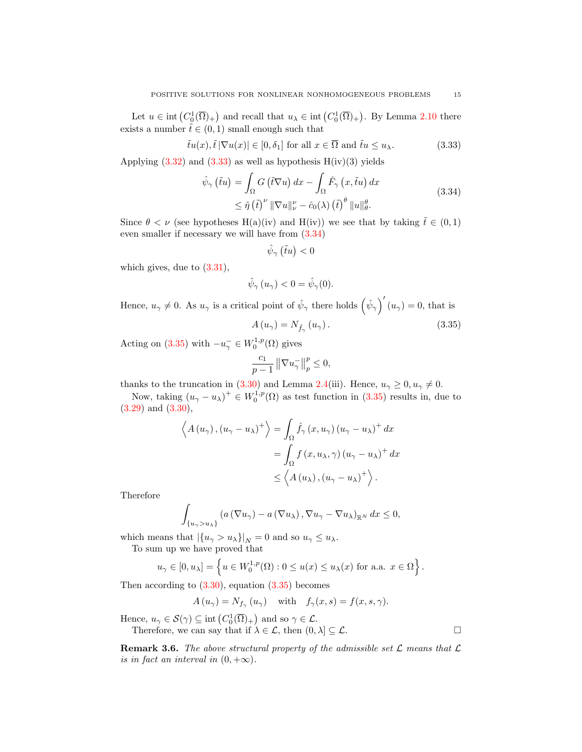Let  $u \in \text{int}(C_0^1(\overline{\Omega})_+)$  and recall that  $u_\lambda \in \text{int}(C_0^1(\overline{\Omega})_+)$ . By Lemma [2.10](#page-6-0) there exists a number  $\tilde{t} \in (0, 1)$  small enough such that

$$
\tilde{t}u(x), \tilde{t}|\nabla u(x)| \in [0, \delta_1] \text{ for all } x \in \overline{\Omega} \text{ and } \tilde{t}u \le u_\lambda. \tag{3.33}
$$

Applying  $(3.32)$  and  $(3.33)$  as well as hypothesis  $H(iv)(3)$  yields

$$
\hat{\psi}_{\gamma}(\tilde{t}u) = \int_{\Omega} G(\tilde{t}\nabla u) dx - \int_{\Omega} \hat{F}_{\gamma}(x, \tilde{t}u) dx
$$
\n
$$
\leq \tilde{\eta}(\tilde{t})^{\nu} \|\nabla u\|_{\nu}^{\nu} - \hat{c}_0(\lambda) (\tilde{t})^{\theta} \|u\|_{\theta}^{\theta}.
$$
\n(3.34)

Since  $\theta < \nu$  (see hypotheses H(a)(iv) and H(iv)) we see that by taking  $\tilde{t} \in (0,1)$ even smaller if necessary we will have from [\(3.34\)](#page-14-1)

<span id="page-14-2"></span><span id="page-14-1"></span><span id="page-14-0"></span>
$$
\hat{\psi}_{\gamma}(\tilde{t}u)<0
$$

which gives, due to  $(3.31)$ ,

$$
\hat{\psi}_{\gamma}\left(u_{\gamma}\right) < 0 = \hat{\psi}_{\gamma}(0).
$$

Hence,  $u_{\gamma} \neq 0$ . As  $u_{\gamma}$  is a critical point of  $\hat{\psi}_{\gamma}$  there holds  $(\hat{\psi}_{\gamma})'(u_{\gamma}) = 0$ , that is

$$
A(u_{\gamma}) = N_{\hat{f}_{\gamma}}(u_{\gamma}). \tag{3.35}
$$

Acting on [\(3.35\)](#page-14-2) with  $-u_\gamma^- \in W_0^{1,p}(\Omega)$  gives

$$
\frac{c_1}{p-1} \left\| \nabla u_\gamma^- \right\|_p^p \le 0,
$$

thanks to the truncation in [\(3.30\)](#page-13-3) and Lemma [2.4\(](#page-3-1)iii). Hence,  $u_{\gamma} \ge 0, u_{\gamma} \ne 0$ .

Now, taking  $(u_{\gamma}-u_{\lambda})^{\perp} \in W_0^{1,p}(\Omega)$  as test function in  $(3.35)$  results in, due to [\(3.29\)](#page-13-6) and [\(3.30\)](#page-13-3),

$$
\left\langle A(u_{\gamma}), (u_{\gamma} - u_{\lambda})^{+} \right\rangle = \int_{\Omega} \hat{f}_{\gamma} (x, u_{\gamma}) (u_{\gamma} - u_{\lambda})^{+} dx
$$
  
= 
$$
\int_{\Omega} f (x, u_{\lambda}, \gamma) (u_{\gamma} - u_{\lambda})^{+} dx
$$
  
\$\leq\$ 
$$
\left\langle A(u_{\lambda}), (u_{\gamma} - u_{\lambda})^{+} \right\rangle.
$$

Therefore

$$
\int_{\{u_{\gamma}>u_{\lambda}\}} \left(a\left(\nabla u_{\gamma}\right)-a\left(\nabla u_{\lambda}\right),\nabla u_{\gamma}-\nabla u_{\lambda}\right)_{\mathbb{R}^{N}} dx \leq 0,
$$

which means that  $|\{u_{\gamma} > u_{\lambda}\}\|_{N} = 0$  and so  $u_{\gamma} \leq u_{\lambda}$ .

To sum up we have proved that

$$
u_{\gamma} \in [0, u_{\lambda}] = \left\{ u \in W_0^{1, p}(\Omega) : 0 \le u(x) \le u_{\lambda}(x) \text{ for a.a. } x \in \Omega \right\}.
$$

Then according to  $(3.30)$ , equation  $(3.35)$  becomes

 $A(u_\gamma) = N_{f_\gamma}(u_\gamma)$  with  $f_\gamma(x,s) = f(x,s,\gamma)$ .

Hence,  $u_{\gamma} \in \mathcal{S}(\gamma) \subseteq \text{int}\left(C_0^1(\overline{\Omega})_+\right)$  and so  $\gamma \in \mathcal{L}$ .

Therefore, we can say that if  $\lambda \in \mathcal{L}$ , then  $(0, \lambda] \subseteq \mathcal{L}$ .

**Remark 3.6.** The above structural property of the admissible set  $\mathcal{L}$  means that  $\mathcal{L}$ is in fact an interval in  $(0, +\infty)$ .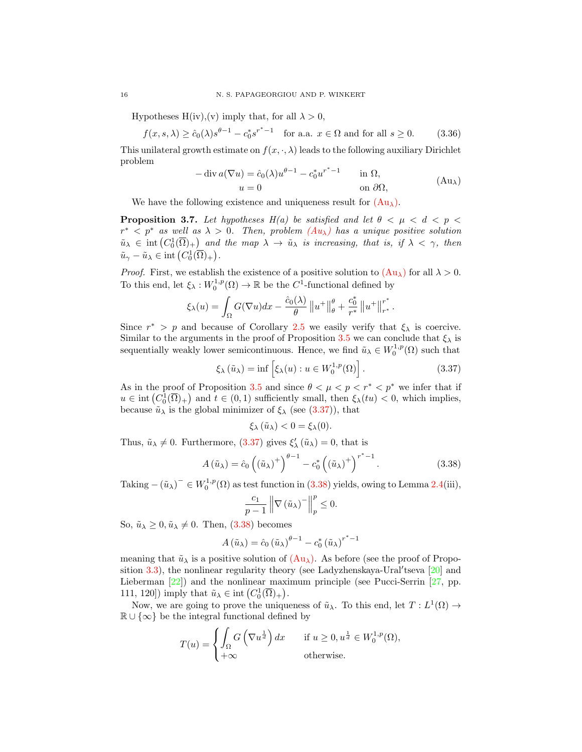Hypotheses H(iv), (v) imply that, for all  $\lambda > 0$ ,

$$
f(x, s, \lambda) \ge \hat{c}_0(\lambda) s^{\theta - 1} - c_0^* s^{r^* - 1} \quad \text{for a.a. } x \in \Omega \text{ and for all } s \ge 0. \tag{3.36}
$$

This unilateral growth estimate on  $f(x, \cdot, \lambda)$  leads to the following auxiliary Dirichlet problem

<span id="page-15-4"></span><span id="page-15-1"></span><span id="page-15-0"></span>
$$
-\operatorname{div} a(\nabla u) = \hat{c}_0(\lambda)u^{\theta - 1} - c_0^* u^{r^* - 1} \quad \text{in } \Omega,
$$
  
\n
$$
u = 0 \quad \text{on } \partial\Omega,
$$
 (Au<sub>λ</sub>)

We have the following existence and uniqueness result for  $(Au_\lambda)$  $(Au_\lambda)$ .

<span id="page-15-3"></span>**Proposition 3.7.** Let hypotheses H(a) be satisfied and let  $\theta < \mu < d < p$  $r^*$  <  $p^*$  as well as  $\lambda > 0$ . Then, problem  $(Au_{\lambda})$  $(Au_{\lambda})$  has a unique positive solution  $\tilde{u}_{\lambda} \in \text{int}\left(C_0^1(\overline{\Omega})_+\right)$  and the map  $\lambda \to \tilde{u}_{\lambda}$  is increasing, that is, if  $\lambda < \gamma$ , then  $\tilde{u}_{\gamma} - \tilde{u}_{\lambda} \in \text{int}\left(C_0^1(\overline{\Omega})_+\right).$ 

*Proof.* First, we establish the existence of a positive solution to  $(\text{Au}_{\lambda})$  for all  $\lambda > 0$ . To this end, let  $\xi_{\lambda}: W_0^{1,p}(\Omega) \to \mathbb{R}$  be the  $C^1$ -functional defined by

$$
\xi_{\lambda}(u) = \int_{\Omega} G(\nabla u) dx - \frac{\hat{c}_0(\lambda)}{\theta} ||u^+||_{\theta}^{\theta} + \frac{c_0^*}{r^*} ||u^+||_{r^*}^{r^*}.
$$

Since  $r^* > p$  and because of Corollary [2.5](#page-3-2) we easily verify that  $\xi_{\lambda}$  is coercive. Similar to the arguments in the proof of Proposition [3.5](#page-11-6) we can conclude that  $\xi_{\lambda}$  is sequentially weakly lower semicontinuous. Hence, we find  $\tilde{u}_{\lambda} \in W_0^{1,p}(\Omega)$  such that

$$
\xi_{\lambda}(\tilde{u}_{\lambda}) = \inf \left[ \xi_{\lambda}(u) : u \in W_0^{1,p}(\Omega) \right]. \tag{3.37}
$$

As in the proof of Proposition [3.5](#page-11-6) and since  $\theta < \mu < p < r^* < p^*$  we infer that if  $u \in \text{int}(C_0^1(\overline{\Omega})_+)$  and  $t \in (0,1)$  sufficiently small, then  $\xi_{\lambda}(tu) < 0$ , which implies, because  $\tilde{u}_{\lambda}$  is the global minimizer of  $\xi_{\lambda}$  (see [\(3.37\)](#page-15-1)), that

<span id="page-15-2"></span>
$$
\xi_{\lambda}(\tilde{u}_{\lambda})<0=\xi_{\lambda}(0).
$$

Thus,  $\tilde{u}_{\lambda} \neq 0$ . Furthermore, [\(3.37\)](#page-15-1) gives  $\xi'_{\lambda}(\tilde{u}_{\lambda}) = 0$ , that is

$$
A\left(\tilde{u}_{\lambda}\right) = \hat{c}_0 \left(\left(\tilde{u}_{\lambda}\right)^+\right)^{\theta - 1} - c_0^* \left(\left(\tilde{u}_{\lambda}\right)^+\right)^{r^* - 1}.\tag{3.38}
$$

Taking  $-(\tilde{u}_{\lambda})^{-} \in W_0^{1,p}(\Omega)$  as test function in [\(3.38\)](#page-15-2) yields, owing to Lemma [2.4\(](#page-3-1)iii),

$$
\frac{c_1}{p-1} \left\| \nabla \left( \tilde{u}_{\lambda} \right)^{-} \right\|_p^p \le 0.
$$

So,  $\tilde{u}_{\lambda} \geq 0$ ,  $\tilde{u}_{\lambda} \neq 0$ . Then, [\(3.38\)](#page-15-2) becomes

$$
A\left(\tilde{u}_{\lambda}\right) = \hat{c}_0 \left(\tilde{u}_{\lambda}\right)^{\theta - 1} - c_0^* \left(\tilde{u}_{\lambda}\right)^{r^* - 1}
$$

meaning that  $\tilde{u}_{\lambda}$  is a positive solution of  $(Au_{\lambda})$  $(Au_{\lambda})$ . As before (see the proof of Proposition  $3.3$ ), the nonlinear regularity theory (see Ladyzhenskaya-Ural'tseva [\[20\]](#page-26-17) and Lieberman [\[22\]](#page-26-11)) and the nonlinear maximum principle (see Pucci-Serrin [\[27,](#page-27-1) pp. 111, 120]) imply that  $\tilde{u}_{\lambda} \in \text{int}(C_0^1(\overline{\Omega})_+)$ .

Now, we are going to prove the uniqueness of  $\tilde{u}_{\lambda}$ . To this end, let  $T: L^{1}(\Omega) \rightarrow$  $\mathbb{R} \cup \{\infty\}$  be the integral functional defined by

$$
T(u) = \begin{cases} \int_{\Omega} G\left(\nabla u^{\frac{1}{d}}\right) dx & \text{if } u \ge 0, u^{\frac{1}{d}} \in W_0^{1,p}(\Omega), \\ +\infty & \text{otherwise.} \end{cases}
$$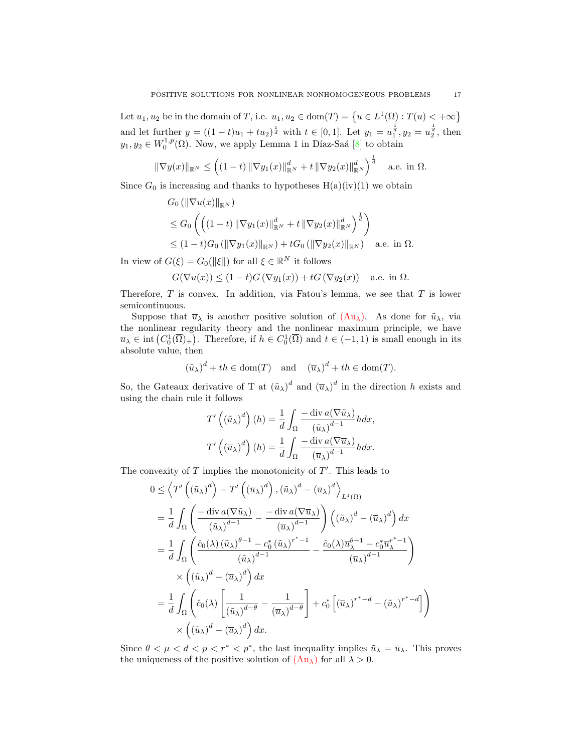Let  $u_1, u_2$  be in the domain of T, i.e.  $u_1, u_2 \in \text{dom}(T) = \{u \in L^1(\Omega) : T(u) < +\infty\}$ and let further  $y = ((1-t)u_1 + tu_2)^{\frac{1}{d}}$  with  $t \in [0,1]$ . Let  $y_1 = u_1^{\frac{1}{d}}$ ,  $y_2 = u_2^{\frac{1}{d}}$ , then  $y_1, y_2 \in W_0^{1,p}(\Omega)$ . Now, we apply Lemma 1 in Díaz-Saá [\[8\]](#page-26-21) to obtain

$$
\|\nabla y(x)\|_{\mathbb{R}^N} \le \left( (1-t) \|\nabla y_1(x)\|_{\mathbb{R}^N}^d + t \|\nabla y_2(x)\|_{\mathbb{R}^N}^d \right)^{\frac{1}{d}} \quad \text{a.e. in } \Omega.
$$

Since  $G_0$  is increasing and thanks to hypotheses  $H(a)(iv)(1)$  we obtain

$$
G_0 (\|\nabla u(x)\|_{\mathbb{R}^N})
$$
  
\n
$$
\leq G_0 \left( \left( (1-t) \|\nabla y_1(x)\|_{\mathbb{R}^N}^d + t \|\nabla y_2(x)\|_{\mathbb{R}^N}^d \right)^{\frac{1}{d}} \right)
$$
  
\n
$$
\leq (1-t)G_0 (\|\nabla y_1(x)\|_{\mathbb{R}^N}) + tG_0 (\|\nabla y_2(x)\|_{\mathbb{R}^N}) \quad \text{a.e. in } \Omega.
$$

In view of  $G(\xi) = G_0(\|\xi\|)$  for all  $\xi \in \mathbb{R}^N$  it follows

$$
G(\nabla u(x)) \le (1-t)G(\nabla y_1(x)) + tG(\nabla y_2(x)) \quad \text{a.e. in } \Omega.
$$

Therefore,  $T$  is convex. In addition, via Fatou's lemma, we see that  $T$  is lower semicontinuous.

Suppose that  $\bar{u}_{\lambda}$  is another positive solution of  $(Au_{\lambda})$  $(Au_{\lambda})$ . As done for  $\tilde{u}_{\lambda}$ , via the nonlinear regularity theory and the nonlinear maximum principle, we have  $\overline{u}_{\lambda} \in \text{int}(C_0^1(\overline{\Omega})_+)$ . Therefore, if  $h \in C_0^1(\overline{\Omega})$  and  $t \in (-1,1)$  is small enough in its absolute value, then

$$
(\tilde{u}_{\lambda})^d + th \in \text{dom}(T)
$$
 and  $(\overline{u}_{\lambda})^d + th \in \text{dom}(T)$ .

So, the Gateaux derivative of T at  $(\tilde{u}_{\lambda})^d$  and  $(\overline{u}_{\lambda})^d$  in the direction h exists and using the chain rule it follows

$$
T'\left((\tilde{u}_{\lambda})^d\right)(h) = \frac{1}{d} \int_{\Omega} \frac{-\operatorname{div} a(\nabla \tilde{u}_{\lambda})}{(\tilde{u}_{\lambda})^{d-1}} h dx,
$$

$$
T'\left((\overline{u}_{\lambda})^d\right)(h) = \frac{1}{d} \int_{\Omega} \frac{-\operatorname{div} a(\nabla \overline{u}_{\lambda})}{(\overline{u}_{\lambda})^{d-1}} h dx.
$$

The convexity of  $T$  implies the monotonicity of  $T'$ . This leads to

$$
0 \leq \left\langle T'\left( (\tilde{u}_{\lambda})^{d} \right) - T'\left( (\overline{u}_{\lambda})^{d} \right) , (\tilde{u}_{\lambda})^{d} - (\overline{u}_{\lambda})^{d} \right\rangle_{L^{1}(\Omega)}
$$
  
\n
$$
= \frac{1}{d} \int_{\Omega} \left( \frac{-\operatorname{div} a(\nabla \tilde{u}_{\lambda})}{(\tilde{u}_{\lambda})^{d-1}} - \frac{-\operatorname{div} a(\nabla \overline{u}_{\lambda})}{(\overline{u}_{\lambda})^{d-1}} \right) \left( (\tilde{u}_{\lambda})^{d} - (\overline{u}_{\lambda})^{d} \right) dx
$$
  
\n
$$
= \frac{1}{d} \int_{\Omega} \left( \frac{\hat{c}_{0}(\lambda) (\tilde{u}_{\lambda})^{\theta-1} - c_{0}^{*} (\tilde{u}_{\lambda})^{r^{*}-1}}{(\tilde{u}_{\lambda})^{d-1}} - \frac{\hat{c}_{0}(\lambda) \overline{u}_{\lambda}^{\theta-1} - c_{0}^{*} \overline{u}_{\lambda}^{r^{*}-1}}{(\overline{u}_{\lambda})^{d-1}} \right)
$$
  
\n
$$
\times \left( (\tilde{u}_{\lambda})^{d} - (\overline{u}_{\lambda})^{d} \right) dx
$$
  
\n
$$
= \frac{1}{d} \int_{\Omega} \left( \hat{c}_{0}(\lambda) \left[ \frac{1}{(\tilde{u}_{\lambda})^{d-\theta}} - \frac{1}{(\overline{u}_{\lambda})^{d-\theta}} \right] + c_{0}^{*} \left[ (\overline{u}_{\lambda})^{r^{*}-d} - (\tilde{u}_{\lambda})^{r^{*}-d} \right] \right)
$$
  
\n
$$
\times \left( (\tilde{u}_{\lambda})^{d} - (\overline{u}_{\lambda})^{d} \right) dx.
$$

Since  $\theta < \mu < d < p < r^* < p^*$ , the last inequality implies  $\tilde{u}_{\lambda} = \overline{u}_{\lambda}$ . This proves the uniqueness of the positive solution of  $(Au_\lambda)$  $(Au_\lambda)$  for all  $\lambda > 0$ .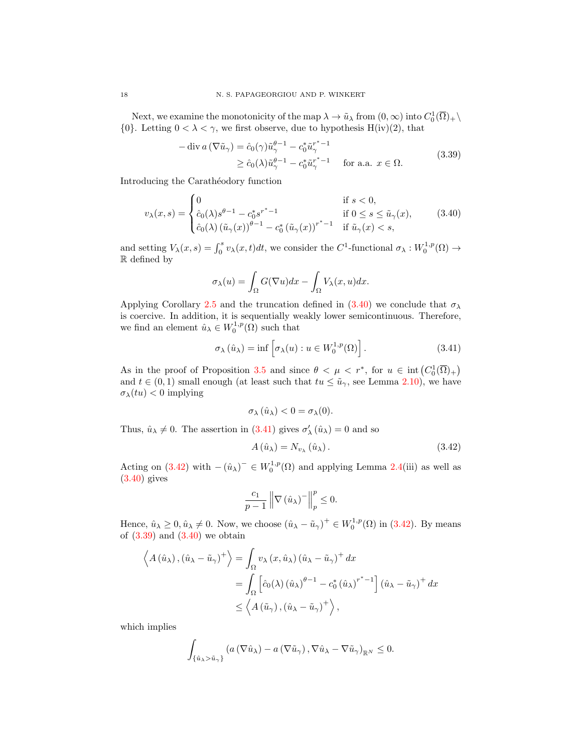Next, we examine the monotonicity of the map  $\lambda \to \tilde{u}_{\lambda}$  from  $(0, \infty)$  into  $C_0^1(\overline{\Omega})_+ \setminus$ {0}. Letting  $0 < \lambda < \gamma$ , we first observe, due to hypothesis H(iv)(2), that

$$
-\operatorname{div} a\left(\nabla \tilde{u}_{\gamma}\right) = \hat{c}_0(\gamma)\tilde{u}_{\gamma}^{\theta-1} - c_0^* \tilde{u}_{\gamma}^{r^*-1}
$$
  
\n
$$
\geq \hat{c}_0(\lambda)\tilde{u}_{\gamma}^{\theta-1} - c_0^* \tilde{u}_{\gamma}^{r^*-1} \quad \text{for a.a. } x \in \Omega.
$$
\n(3.39)

Introducing the Carathéodory function

$$
v_{\lambda}(x,s) = \begin{cases} 0 & \text{if } s < 0, \\ \hat{c}_0(\lambda)s^{\theta-1} - c_0^*s^{r^* - 1} & \text{if } 0 \le s \le \tilde{u}_{\gamma}(x), \\ \hat{c}_0(\lambda) (\tilde{u}_{\gamma}(x))^{\theta-1} - c_0^* (\tilde{u}_{\gamma}(x))^{r^* - 1} & \text{if } \tilde{u}_{\gamma}(x) < s, \end{cases}
$$
(3.40)

and setting  $V_\lambda(x,s) = \int_0^s v_\lambda(x,t)dt$ , we consider the  $C^1$ -functional  $\sigma_\lambda: W_0^{1,p}(\Omega) \to$ R defined by

<span id="page-17-3"></span><span id="page-17-0"></span>
$$
\sigma_{\lambda}(u) = \int_{\Omega} G(\nabla u) dx - \int_{\Omega} V_{\lambda}(x, u) dx.
$$

Applying Corollary [2.5](#page-3-2) and the truncation defined in [\(3.40\)](#page-17-0) we conclude that  $\sigma_{\lambda}$ is coercive. In addition, it is sequentially weakly lower semicontinuous. Therefore, we find an element  $\hat{u}_{\lambda} \in W_0^{1,p}(\Omega)$  such that

$$
\sigma_{\lambda}(\hat{u}_{\lambda}) = \inf \left[ \sigma_{\lambda}(u) : u \in W_0^{1,p}(\Omega) \right]. \tag{3.41}
$$

As in the proof of Proposition [3.5](#page-11-6) and since  $\theta < \mu < r^*$ , for  $u \in \text{int}(C_0^1(\overline{\Omega})_+)$ and  $t \in (0,1)$  small enough (at least such that  $tu \leq \tilde{u}_{\gamma}$ , see Lemma [2.10\)](#page-6-0), we have  $\sigma_{\lambda}(tu) < 0$  implying

<span id="page-17-1"></span>
$$
\sigma_{\lambda}(\hat{u}_{\lambda}) < 0 = \sigma_{\lambda}(0).
$$

Thus,  $\hat{u}_{\lambda} \neq 0$ . The assertion in [\(3.41\)](#page-17-1) gives  $\sigma'_{\lambda}(\hat{u}_{\lambda}) = 0$  and so

<span id="page-17-2"></span>
$$
A\left(\hat{u}_{\lambda}\right) = N_{v_{\lambda}}\left(\hat{u}_{\lambda}\right). \tag{3.42}
$$

Acting on [\(3.42\)](#page-17-2) with  $-(\hat{u}_{\lambda})^{-} \in W_0^{1,p}(\Omega)$  and applying Lemma [2.4\(](#page-3-1)iii) as well as  $(3.40)$  gives

$$
\frac{c_1}{p-1} \left\| \nabla \left( \hat{u}_{\lambda} \right)^{-} \right\|_p^p \le 0.
$$

Hence,  $\hat{u}_{\lambda} \geq 0$ ,  $\hat{u}_{\lambda} \neq 0$ . Now, we choose  $(\hat{u}_{\lambda} - \tilde{u}_{\gamma})^+ \in W_0^{1,p}(\Omega)$  in [\(3.42\)](#page-17-2). By means of  $(3.39)$  and  $(3.40)$  we obtain

$$
\left\langle A(\hat{u}_{\lambda}), (\hat{u}_{\lambda} - \tilde{u}_{\gamma})^{+} \right\rangle = \int_{\Omega} v_{\lambda} (x, \hat{u}_{\lambda}) (\hat{u}_{\lambda} - \tilde{u}_{\gamma})^{+} dx
$$
  
= 
$$
\int_{\Omega} \left[ \hat{c}_{0}(\lambda) (\hat{u}_{\lambda})^{\theta - 1} - c_{0}^{*} (\hat{u}_{\lambda})^{r^{*} - 1} \right] (\hat{u}_{\lambda} - \tilde{u}_{\gamma})^{+} dx
$$
  

$$
\leq \left\langle A(\tilde{u}_{\gamma}), (\hat{u}_{\lambda} - \tilde{u}_{\gamma})^{+} \right\rangle,
$$

which implies

$$
\int_{\{\hat{u}_{\lambda} > \tilde{u}_{\gamma}\}} \left( a\left(\nabla \hat{u}_{\lambda}\right) - a\left(\nabla \tilde{u}_{\gamma}\right), \nabla \hat{u}_{\lambda} - \nabla \tilde{u}_{\gamma}\right)_{\mathbb{R}^N} \leq 0.
$$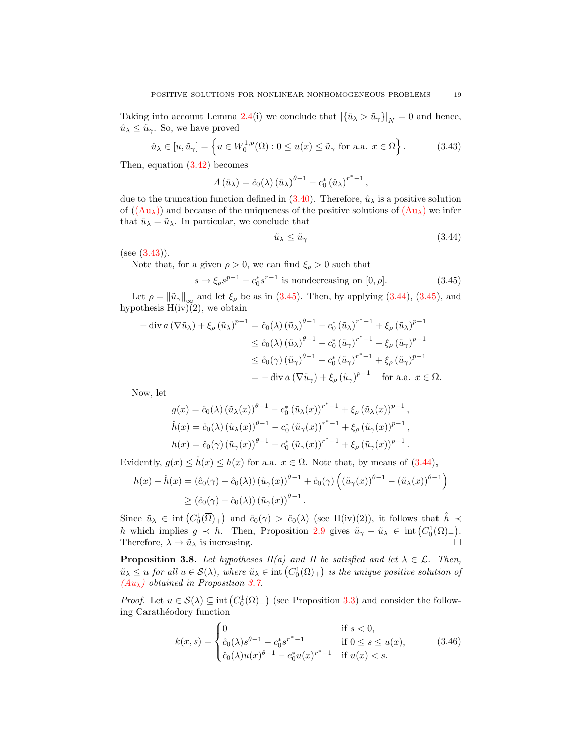Taking into account Lemma [2.4\(](#page-3-1)i) we conclude that  $|\{\hat{u}_{\lambda} > \tilde{u}_{\gamma}\}|_{N} = 0$  and hence,  $\hat{u}_{\lambda} \leq \tilde{u}_{\gamma}$ . So, we have proved

$$
\hat{u}_{\lambda} \in [u, \tilde{u}_{\gamma}] = \left\{ u \in W_0^{1,p}(\Omega) : 0 \le u(x) \le \tilde{u}_{\gamma} \text{ for a.a. } x \in \Omega \right\}.
$$
 (3.43)

Then, equation [\(3.42\)](#page-17-2) becomes

$$
A\left(\hat{u}_{\lambda}\right) = \hat{c}_0(\lambda)\left(\hat{u}_{\lambda}\right)^{\theta - 1} - c_0^* \left(\hat{u}_{\lambda}\right)^{r^* - 1},
$$

due to the truncation function defined in [\(3.40\)](#page-17-0). Therefore,  $\hat{u}_{\lambda}$  is a positive solution of  $((Au<sub>\lambda</sub>))$  $((Au<sub>\lambda</sub>))$  $((Au<sub>\lambda</sub>))$  and because of the uniqueness of the positive solutions of  $(Au<sub>\lambda</sub>)$  we infer that  $\hat{u}_{\lambda} = \tilde{u}_{\lambda}$ . In particular, we conclude that

<span id="page-18-2"></span><span id="page-18-1"></span><span id="page-18-0"></span>
$$
\tilde{u}_{\lambda} \le \tilde{u}_{\gamma} \tag{3.44}
$$

 $(see (3.43)).$  $(see (3.43)).$  $(see (3.43)).$ 

Note that, for a given  $\rho > 0$ , we can find  $\xi_{\rho} > 0$  such that

$$
s \to \xi_{\rho} s^{p-1} - c_0^* s^{r-1}
$$
 is nondecreasing on  $[0, \rho]$ . (3.45)

Let  $\rho = ||\tilde{u}_{\gamma}||_{\infty}$  and let  $\xi_{\rho}$  be as in [\(3.45\)](#page-18-1). Then, by applying [\(3.44\)](#page-18-2), (3.45), and hypothesis  $H(iv)(2)$ , we obtain

$$
-\operatorname{div} a(\nabla \tilde{u}_{\lambda}) + \xi_{\rho} (\tilde{u}_{\lambda})^{p-1} = \hat{c}_{0}(\lambda) (\tilde{u}_{\lambda})^{p-1} - c_{0}^{*} (\tilde{u}_{\lambda})^{r^{*}-1} + \xi_{\rho} (\tilde{u}_{\lambda})^{p-1}
$$
  
\n
$$
\leq \hat{c}_{0}(\lambda) (\tilde{u}_{\lambda})^{p-1} - c_{0}^{*} (\tilde{u}_{\gamma})^{r^{*}-1} + \xi_{\rho} (\tilde{u}_{\gamma})^{p-1}
$$
  
\n
$$
\leq \hat{c}_{0}(\gamma) (\tilde{u}_{\gamma})^{p-1} - c_{0}^{*} (\tilde{u}_{\gamma})^{r^{*}-1} + \xi_{\rho} (\tilde{u}_{\gamma})^{p-1}
$$
  
\n
$$
= -\operatorname{div} a(\nabla \tilde{u}_{\gamma}) + \xi_{\rho} (\tilde{u}_{\gamma})^{p-1} \quad \text{for a.a. } x \in \Omega.
$$

Now, let

$$
g(x) = \hat{c}_0(\lambda) (\tilde{u}_{\lambda}(x))^{\theta - 1} - c_0^* (\tilde{u}_{\lambda}(x))^{r^* - 1} + \xi_{\rho} (\tilde{u}_{\lambda}(x))^{p - 1},
$$
  
\n
$$
\hat{h}(x) = \hat{c}_0(\lambda) (\tilde{u}_{\lambda}(x))^{ \theta - 1} - c_0^* (\tilde{u}_{\gamma}(x))^{r^* - 1} + \xi_{\rho} (\tilde{u}_{\gamma}(x))^{p - 1},
$$
  
\n
$$
h(x) = \hat{c}_0(\gamma) (\tilde{u}_{\gamma}(x))^{ \theta - 1} - c_0^* (\tilde{u}_{\gamma}(x))^{r^* - 1} + \xi_{\rho} (\tilde{u}_{\gamma}(x))^{p - 1}.
$$

Evidently,  $g(x) \leq \hat{h}(x) \leq h(x)$  for a.a.  $x \in \Omega$ . Note that, by means of [\(3.44\)](#page-18-2),

$$
h(x) - \hat{h}(x) = (\hat{c}_0(\gamma) - \hat{c}_0(\lambda)) (\tilde{u}_{\gamma}(x))^{\theta - 1} + \hat{c}_0(\gamma) ((\tilde{u}_{\gamma}(x))^{\theta - 1} - (\tilde{u}_{\lambda}(x))^{\theta - 1})
$$
  
 
$$
\geq (\hat{c}_0(\gamma) - \hat{c}_0(\lambda)) (\tilde{u}_{\gamma}(x))^{\theta - 1}.
$$

Since  $\tilde{u}_{\lambda} \in \text{int}\left(C_0^1(\overline{\Omega})_+\right)$  and  $\hat{c}_0(\gamma) > \hat{c}_0(\lambda)$  (see H(iv)(2)), it follows that  $\hat{h} \prec$ h which implies  $g \prec h$ . Then, Proposition [2.9](#page-5-1) gives  $\tilde{u}_{\gamma} - \tilde{u}_{\lambda} \in \text{int}(C_0^1(\overline{\Omega})_+).$ Therefore,  $\lambda \to \tilde{u}_{\lambda}$  is increasing.

<span id="page-18-4"></span>**Proposition 3.8.** Let hypotheses  $H(a)$  and H be satisfied and let  $\lambda \in \mathcal{L}$ . Then,  $\tilde{u}_{\lambda} \leq u$  for all  $u \in \mathcal{S}(\lambda)$ , where  $\tilde{u}_{\lambda} \in \text{int}\left(C_0^1(\overline{\Omega})_+\right)$  is the unique positive solution of  $(Au_{\lambda})$  $(Au_{\lambda})$  obtained in Proposition [3.7.](#page-15-3)

*Proof.* Let  $u \in \mathcal{S}(\lambda) \subseteq \text{int}(C_0^1(\overline{\Omega})_+)$  (see Proposition [3.3\)](#page-9-4) and consider the following Carathéodory function

<span id="page-18-3"></span>
$$
k(x,s) = \begin{cases} 0 & \text{if } s < 0, \\ \hat{c}_0(\lambda)s^{\theta-1} - c_0^* s^{r^*-1} & \text{if } 0 \le s \le u(x), \\ \hat{c}_0(\lambda)u(x)^{\theta-1} - c_0^* u(x)^{r^*-1} & \text{if } u(x) < s. \end{cases}
$$
(3.46)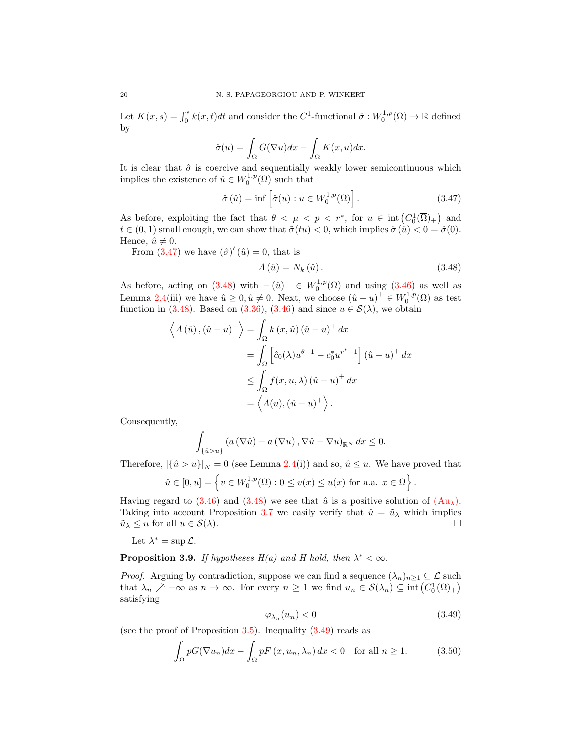Let  $K(x, s) = \int_0^s k(x, t)dt$  and consider the C<sup>1</sup>-functional  $\hat{\sigma}: W_0^{1,p}(\Omega) \to \mathbb{R}$  defined by

$$
\hat{\sigma}(u) = \int_{\Omega} G(\nabla u) dx - \int_{\Omega} K(x, u) dx.
$$

It is clear that  $\hat{\sigma}$  is coercive and sequentially weakly lower semicontinuous which implies the existence of  $\hat{u} \in W_0^{1,p}(\Omega)$  such that

$$
\hat{\sigma}(\hat{u}) = \inf \left[ \hat{\sigma}(u) : u \in W_0^{1,p}(\Omega) \right]. \tag{3.47}
$$

As before, exploiting the fact that  $\theta < \mu < p < r^*$ , for  $u \in \text{int}(C_0^1(\overline{\Omega})_+)$  and  $t \in (0,1)$  small enough, we can show that  $\hat{\sigma}(tu) < 0$ , which implies  $\hat{\sigma}(\hat{u}) < 0 = \hat{\sigma}(0)$ . Hence,  $\hat{u} \neq 0$ .

From  $(3.47)$  we have  $(\hat{\sigma})'(\hat{u}) = 0$ , that is

<span id="page-19-1"></span><span id="page-19-0"></span>
$$
A\left(\hat{u}\right) = N_k\left(\hat{u}\right). \tag{3.48}
$$

As before, acting on [\(3.48\)](#page-19-1) with  $-(\hat{u})^{-} \in W_0^{1,p}(\Omega)$  and using [\(3.46\)](#page-18-3) as well as Lemma [2.4\(](#page-3-1)iii) we have  $\hat{u} \geq 0, \hat{u} \neq 0$ . Next, we choose  $(\hat{u} - u)^+ \in W_0^{1,p}(\Omega)$  as test function in [\(3.48\)](#page-19-1). Based on [\(3.36\)](#page-15-4), [\(3.46\)](#page-18-3) and since  $u \in \mathcal{S}(\lambda)$ , we obtain

$$
\left\langle A(\hat{u}), (\hat{u} - u)^+ \right\rangle = \int_{\Omega} k(x, \hat{u}) (\hat{u} - u)^+ dx
$$
  
= 
$$
\int_{\Omega} \left[ \hat{c}_0(\lambda) u^{\theta - 1} - c_0^* u^{r^* - 1} \right] (\hat{u} - u)^+ dx
$$
  

$$
\leq \int_{\Omega} f(x, u, \lambda) (\hat{u} - u)^+ dx
$$
  
= 
$$
\left\langle A(u), (\hat{u} - u)^+ \right\rangle.
$$

Consequently,

$$
\int_{\{\hat{u}>u\}} \left(a\left(\nabla \hat{u}\right)-a\left(\nabla u\right),\nabla \hat{u}-\nabla u\right)_{\mathbb{R}^N} dx \leq 0.
$$

Therefore,  $|\{\hat{u} > u\}|_N = 0$  (see Lemma [2.4\(](#page-3-1)i)) and so,  $\hat{u} \le u$ . We have proved that

$$
\hat{u} \in [0, u] = \left\{ v \in W_0^{1, p}(\Omega) : 0 \le v(x) \le u(x) \text{ for a.a. } x \in \Omega \right\}.
$$

Having regard to [\(3.46\)](#page-18-3) and [\(3.48\)](#page-19-1) we see that  $\hat{u}$  is a positive solution of [\(Au](#page-15-0)<sub> $\lambda$ </sub>). Taking into account Proposition [3.7](#page-15-3) we easily verify that  $\hat{u} = \tilde{u}_{\lambda}$  which implies  $\tilde{u}_{\lambda} \leq u$  for all  $u \in \mathcal{S}(\lambda)$ .

Let  $\lambda^* = \sup \mathcal{L}$ .

<span id="page-19-4"></span>**Proposition 3.9.** If hypotheses  $H(a)$  and H hold, then  $\lambda^* < \infty$ .

*Proof.* Arguing by contradiction, suppose we can find a sequence  $(\lambda_n)_{n\geq 1} \subseteq \mathcal{L}$  such that  $\lambda_n \nearrow +\infty$  as  $n \to \infty$ . For every  $n \geq 1$  we find  $u_n \in S(\lambda_n) \subseteq \text{int}(C_0^1(\overline{\Omega})_+)$ satisfying

<span id="page-19-3"></span><span id="page-19-2"></span>
$$
\varphi_{\lambda_n}(u_n) < 0 \tag{3.49}
$$

(see the proof of Proposition  $3.5$ ). Inequality  $(3.49)$  reads as

$$
\int_{\Omega} pG(\nabla u_n)dx - \int_{\Omega} pF(x, u_n, \lambda_n) dx < 0 \quad \text{for all } n \ge 1.
$$
 (3.50)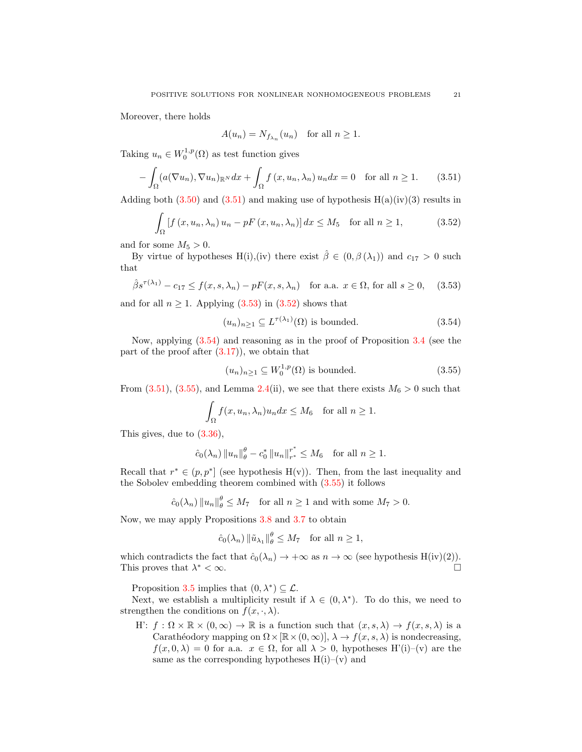Moreover, there holds

<span id="page-20-2"></span><span id="page-20-0"></span>
$$
A(u_n) = N_{f_{\lambda_n}}(u_n) \quad \text{for all } n \ge 1.
$$

Taking  $u_n \in W_0^{1,p}(\Omega)$  as test function gives

$$
-\int_{\Omega} (a(\nabla u_n), \nabla u_n)_{\mathbb{R}^N} dx + \int_{\Omega} f(x, u_n, \lambda_n) u_n dx = 0 \text{ for all } n \ge 1.
$$
 (3.51)

Adding both  $(3.50)$  and  $(3.51)$  and making use of hypothesis  $H(a)(iv)(3)$  results in

$$
\int_{\Omega} \left[ f \left( x, u_n, \lambda_n \right) u_n - pF \left( x, u_n, \lambda_n \right) \right] dx \le M_5 \quad \text{for all } n \ge 1,
$$
\n(3.52)

and for some  $M_5 > 0$ .

By virtue of hypotheses H(i),(iv) there exist  $\hat{\beta} \in (0, \beta(\lambda_1))$  and  $c_{17} > 0$  such that

$$
\hat{\beta}s^{\tau(\lambda_1)} - c_{17} \le f(x, s, \lambda_n) - pF(x, s, \lambda_n) \quad \text{for a.a. } x \in \Omega \text{, for all } s \ge 0,\tag{3.53}
$$

and for all  $n \geq 1$ . Applying  $(3.53)$  in  $(3.52)$  shows that

<span id="page-20-3"></span><span id="page-20-1"></span>
$$
(u_n)_{n\geq 1} \subseteq L^{\tau(\lambda_1)}(\Omega) \text{ is bounded.}
$$
\n(3.54)

Now, applying [\(3.54\)](#page-20-3) and reasoning as in the proof of Proposition [3.4](#page-10-9) (see the part of the proof after  $(3.17)$ , we obtain that

<span id="page-20-4"></span>
$$
(u_n)_{n\geq 1} \subseteq W_0^{1,p}(\Omega) \text{ is bounded.}
$$
\n(3.55)

From [\(3.51\)](#page-20-0), [\(3.55\)](#page-20-4), and Lemma [2.4\(](#page-3-1)ii), we see that there exists  $M_6 > 0$  such that

$$
\int_{\Omega} f(x, u_n, \lambda_n) u_n dx \le M_6 \text{ for all } n \ge 1.
$$

This gives, due to [\(3.36\)](#page-15-4),

$$
\hat{c}_0(\lambda_n) \|u_n\|_{\theta}^{\theta} - c_0^* \|u_n\|_{r^*}^{r^*} \le M_6 \text{ for all } n \ge 1.
$$

Recall that  $r^* \in (p, p^*]$  (see hypothesis H(v)). Then, from the last inequality and the Sobolev embedding theorem combined with [\(3.55\)](#page-20-4) it follows

$$
\hat{c}_0(\lambda_n) \|u_n\|_{\theta}^{\theta} \le M_7
$$
 for all  $n \ge 1$  and with some  $M_7 > 0$ .

Now, we may apply Propositions [3.8](#page-18-4) and [3.7](#page-15-3) to obtain

$$
\hat{c}_0(\lambda_n) \|\tilde{u}_{\lambda_1}\|_{\theta}^{\theta} \le M_7 \text{ for all } n \ge 1,
$$

which contradicts the fact that  $\hat{c}_0(\lambda_n) \to +\infty$  as  $n \to \infty$  (see hypothesis H(iv)(2)). This proves that  $\lambda^* < \infty$ . <sup>∗</sup> < ∞.

Proposition [3.5](#page-11-6) implies that  $(0, \lambda^*) \subseteq \mathcal{L}$ .

Next, we establish a multiplicity result if  $\lambda \in (0, \lambda^*)$ . To do this, we need to strengthen the conditions on  $f(x, \cdot, \lambda)$ .

H:  $f: \Omega \times \mathbb{R} \times (0, \infty) \to \mathbb{R}$  is a function such that  $(x, s, \lambda) \to f(x, s, \lambda)$  is a Carathéodory mapping on  $\Omega \times [\mathbb{R} \times (0, \infty)], \lambda \to f(x, s, \lambda)$  is nondecreasing,  $f(x, 0, \lambda) = 0$  for a.a.  $x \in \Omega$ , for all  $\lambda > 0$ , hypotheses H'(i)–(v) are the same as the corresponding hypotheses  $H(i)$ –(v) and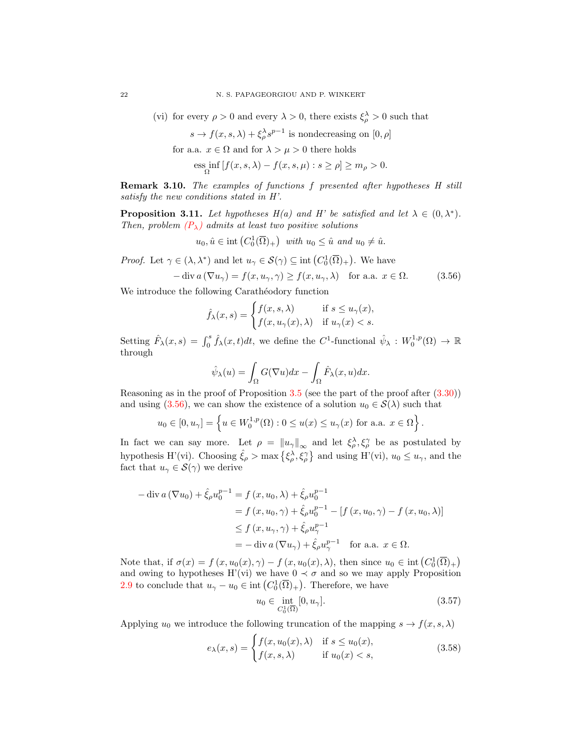(vi) for every  $\rho > 0$  and every  $\lambda > 0$ , there exists  $\xi_{\rho}^{\lambda} > 0$  such that

$$
s \to f(x, s, \lambda) + \xi_{\rho}^{\lambda} s^{\rho-1}
$$
 is nondecreasing on  $[0, \rho]$ 

for a.a.  $x \in \Omega$  and for  $\lambda > \mu > 0$  there holds

$$
\underset{\Omega}{\mathrm{ess}} \inf \left[ f(x, s, \lambda) - f(x, s, \mu) : s \ge \rho \right] \ge m_{\rho} > 0.
$$

Remark 3.10. The examples of functions f presented after hypotheses H still satisfy the new conditions stated in H'.

<span id="page-21-3"></span>**Proposition 3.11.** Let hypotheses  $H(a)$  and H' be satisfied and let  $\lambda \in (0, \lambda^*)$ . Then, problem  $(P_{\lambda})$  $(P_{\lambda})$  admits at least two positive solutions

$$
u_0, \hat{u} \in \text{int}\left(C_0^1(\overline{\Omega})_+\right) \text{ with } u_0 \leq \hat{u} \text{ and } u_0 \neq \hat{u}.
$$

*Proof.* Let  $\gamma \in (\lambda, \lambda^*)$  and let  $u_{\gamma} \in \mathcal{S}(\gamma) \subseteq \text{int}(C_0^1(\overline{\Omega})_+)$ . We have

$$
-\operatorname{div} a\left(\nabla u_{\gamma}\right) = f(x, u_{\gamma}, \gamma) \ge f(x, u_{\gamma}, \lambda) \quad \text{for a.a. } x \in \Omega. \tag{3.56}
$$

We introduce the following Carathéodory function

<span id="page-21-0"></span>
$$
\hat{f}_{\lambda}(x,s) = \begin{cases} f(x,s,\lambda) & \text{if } s \le u_{\gamma}(x), \\ f(x,u_{\gamma}(x),\lambda) & \text{if } u_{\gamma}(x) < s. \end{cases}
$$

Setting  $\hat{F}_{\lambda}(x,s) = \int_0^s \hat{f}_{\lambda}(x,t)dt$ , we define the C<sup>1</sup>-functional  $\hat{\psi}_{\lambda}: W_0^{1,p}(\Omega) \to \mathbb{R}$ through

$$
\hat{\psi}_{\lambda}(u) = \int_{\Omega} G(\nabla u) dx - \int_{\Omega} \hat{F}_{\lambda}(x, u) dx.
$$

Reasoning as in the proof of Proposition [3.5](#page-11-6) (see the part of the proof after [\(3.30\)](#page-13-3)) and using [\(3.56\)](#page-21-0), we can show the existence of a solution  $u_0 \in \mathcal{S}(\lambda)$  such that

$$
u_0 \in [0, u_\gamma] = \left\{ u \in W_0^{1,p}(\Omega) : 0 \le u(x) \le u_\gamma(x) \text{ for a.a. } x \in \Omega \right\}.
$$

In fact we can say more. Let  $\rho = ||u_{\gamma}||_{\infty}$  and let  $\xi_{\rho}^{\lambda}, \xi_{\rho}^{\gamma}$  be as postulated by hypothesis H'(vi). Choosing  $\hat{\xi}_{\rho} > \max \{\xi_{\rho}^{\lambda}, \xi_{\rho}^{\gamma}\}\$  and using H'(vi),  $u_0 \leq u_{\gamma}$ , and the fact that  $u_{\gamma} \in \mathcal{S}(\gamma)$  we derive

$$
-\operatorname{div} a (\nabla u_0) + \hat{\xi}_{\rho} u_0^{p-1} = f (x, u_0, \lambda) + \hat{\xi}_{\rho} u_0^{p-1}
$$
  
=  $f (x, u_0, \gamma) + \hat{\xi}_{\rho} u_0^{p-1} - [f (x, u_0, \gamma) - f (x, u_0, \lambda)]$   
 $\leq f (x, u_{\gamma}, \gamma) + \hat{\xi}_{\rho} u_{\gamma}^{p-1}$   
=  $-\operatorname{div} a (\nabla u_{\gamma}) + \hat{\xi}_{\rho} u_{\gamma}^{p-1}$  for a.a.  $x \in \Omega$ .

Note that, if  $\sigma(x) = f(x, u_0(x), \gamma) - f(x, u_0(x), \lambda)$ , then since  $u_0 \in \text{int}(C_0^1(\overline{\Omega})_+)$ and owing to hypotheses H'(vi) we have  $0 \prec \sigma$  and so we may apply Proposition [2.9](#page-5-1) to conclude that  $u_{\gamma}-u_0 \in \text{int}\left(C_0^1(\overline{\Omega})_+\right)$ . Therefore, we have

<span id="page-21-2"></span><span id="page-21-1"></span>
$$
u_0 \in \inf_{C_0^1(\overline{\Omega})} [0, u_\gamma]. \tag{3.57}
$$

Applying  $u_0$  we introduce the following truncation of the mapping  $s \to f(x, s, \lambda)$ 

$$
e_{\lambda}(x,s) = \begin{cases} f(x, u_0(x), \lambda) & \text{if } s \le u_0(x), \\ f(x, s, \lambda) & \text{if } u_0(x) < s, \end{cases}
$$
 (3.58)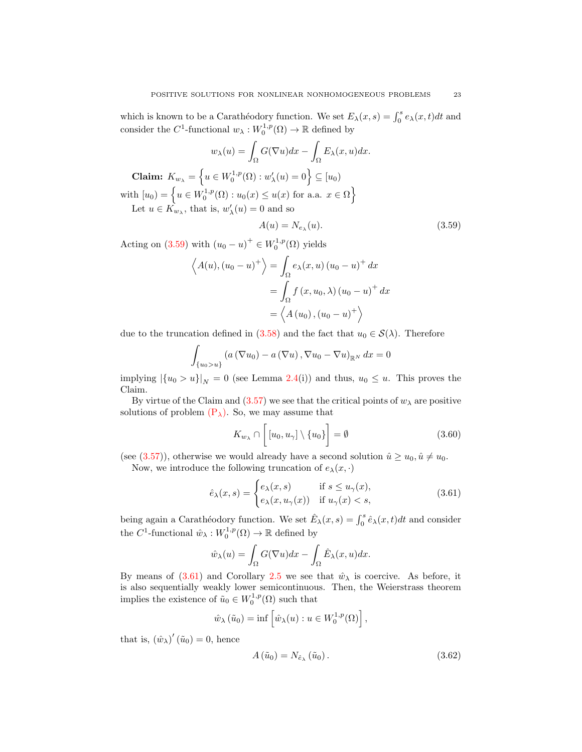which is known to be a Carathéodory function. We set  $E_{\lambda}(x, s) = \int_0^s e_{\lambda}(x, t)dt$  and consider the  $C^1$ -functional  $w_\lambda: W_0^{1,p}(\Omega) \to \mathbb{R}$  defined by

$$
w_{\lambda}(u) = \int_{\Omega} G(\nabla u) dx - \int_{\Omega} E_{\lambda}(x, u) dx.
$$
  
Claim:  $K_{w_{\lambda}} = \left\{ u \in W_0^{1, p}(\Omega) : w'_{\lambda}(u) = 0 \right\} \subseteq [u_0)$   
with  $[u_0) = \left\{ u \in W_0^{1, p}(\Omega) : u_0(x) \le u(x) \text{ for a.a. } x \in \Omega \right\}$   
Let  $u \in K_{w_{\lambda}}$ , that is,  $w'_{\lambda}(u) = 0$  and so

<span id="page-22-0"></span>
$$
A(u) = N_{e_{\lambda}}(u). \tag{3.59}
$$

Acting on [\(3.59\)](#page-22-0) with  $(u_0 - u)^+ \in W_0^{1,p}(\Omega)$  yields

$$
\left\langle A(u), (u_0 - u)^+ \right\rangle = \int_{\Omega} e_{\lambda}(x, u) (u_0 - u)^+ dx
$$

$$
= \int_{\Omega} f(x, u_0, \lambda) (u_0 - u)^+ dx
$$

$$
= \left\langle A(u_0), (u_0 - u)^+ \right\rangle
$$

due to the truncation defined in [\(3.58\)](#page-21-1) and the fact that  $u_0 \in \mathcal{S}(\lambda)$ . Therefore

$$
\int_{\{u_0>u\}} \left( a\left(\nabla u_0\right) - a\left(\nabla u\right), \nabla u_0 - \nabla u\right)_{\mathbb{R}^N} dx = 0
$$

implying  $|\{u_0 > u\}|_N = 0$  (see Lemma [2.4\(](#page-3-1)i)) and thus,  $u_0 \leq u$ . This proves the Claim.

By virtue of the Claim and  $(3.57)$  we see that the critical points of  $w_{\lambda}$  are positive solutions of problem  $(P_{\lambda})$  $(P_{\lambda})$ . So, we may assume that

<span id="page-22-3"></span><span id="page-22-1"></span>
$$
K_{w_{\lambda}} \cap \left[ [u_0, u_{\gamma}] \setminus \{u_0\} \right] = \emptyset \tag{3.60}
$$

(see [\(3.57\)](#page-21-2)), otherwise we would already have a second solution  $\hat{u} \ge u_0, \hat{u} \ne u_0$ . Now, we introduce the following truncation of  $e_{\lambda}(x, \cdot)$ 

$$
\hat{e}_{\lambda}(x,s) = \begin{cases} e_{\lambda}(x,s) & \text{if } s \le u_{\gamma}(x), \\ e_{\lambda}(x,u_{\gamma}(x)) & \text{if } u_{\gamma}(x) < s, \end{cases}
$$
\n(3.61)

being again a Carathéodory function. We set  $\hat{E}_{\lambda}(x, s) = \int_0^s \hat{e}_{\lambda}(x, t)dt$  and consider the  $C^1$ -functional  $\hat{w}_{\lambda}: W_0^{1,p}(\Omega) \to \mathbb{R}$  defined by

$$
\hat{w}_{\lambda}(u) = \int_{\Omega} G(\nabla u) dx - \int_{\Omega} \hat{E}_{\lambda}(x, u) dx.
$$

By means of [\(3.61\)](#page-22-1) and Corollary [2.5](#page-3-2) we see that  $\hat{w}_{\lambda}$  is coercive. As before, it is also sequentially weakly lower semicontinuous. Then, the Weierstrass theorem implies the existence of  $\tilde{u}_0 \in W_0^{1,p}(\Omega)$  such that

$$
\hat{w}_{\lambda}(\tilde{u}_0) = \inf \left[ \hat{w}_{\lambda}(u) : u \in W_0^{1,p}(\Omega) \right],
$$

that is,  $(\hat{w}_{\lambda})'(\tilde{u}_0) = 0$ , hence

<span id="page-22-2"></span>
$$
A\left(\tilde{u}_0\right) = N_{\hat{e}_\lambda}\left(\tilde{u}_0\right). \tag{3.62}
$$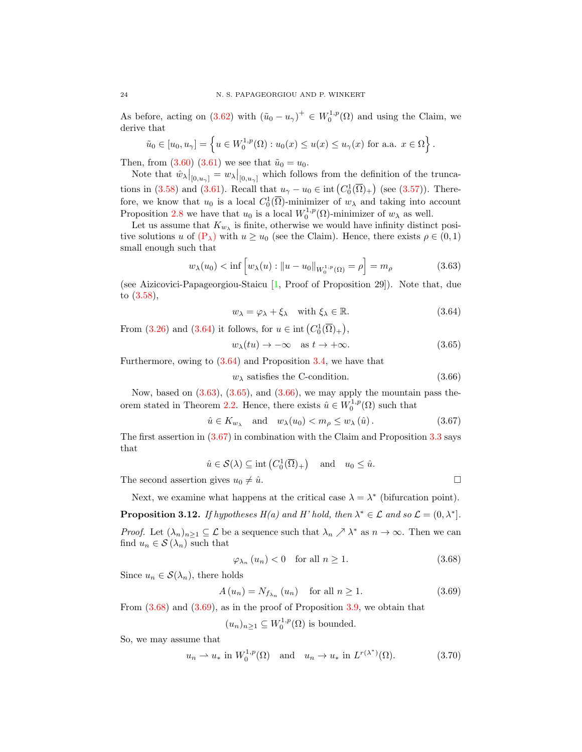As before, acting on [\(3.62\)](#page-22-2) with  $(\tilde{u}_0 - u_\gamma)^+ \in W_0^{1,p}(\Omega)$  and using the Claim, we derive that

$$
\tilde{u}_0 \in [u_0, u_\gamma] = \left\{ u \in W_0^{1,p}(\Omega) : u_0(x) \le u(x) \le u_\gamma(x) \text{ for a.a. } x \in \Omega \right\}.
$$

Then, from  $(3.60)$   $(3.61)$  we see that  $\tilde{u}_0 = u_0$ .

Note that  $\hat{w}_{\lambda}|_{[0,u_{\gamma}]} = w_{\lambda}|_{[0,u_{\gamma}]}$  which follows from the definition of the trunca-tions in [\(3.58\)](#page-21-1) and [\(3.61\)](#page-22-1). Recall that  $u_{\gamma} - u_0 \in \text{int}\left(C_0^1(\overline{\Omega})_+\right)$  (see [\(3.57\)](#page-21-2)). Therefore, we know that  $u_0$  is a local  $C_0^1(\overline{\Omega})$ -minimizer of  $w_\lambda$  and taking into account Proposition [2.8](#page-4-2) we have that  $u_0$  is a local  $W_0^{1,p}(\Omega)$ -minimizer of  $w_\lambda$  as well.

Let us assume that  $K_{w_{\lambda}}$  is finite, otherwise we would have infinity distinct positive solutions u of  $(P_\lambda)$  $(P_\lambda)$  with  $u \geq u_0$  (see the Claim). Hence, there exists  $\rho \in (0,1)$ small enough such that

$$
w_{\lambda}(u_0) < \inf \left[ w_{\lambda}(u) : \|u - u_0\|_{W_0^{1,p}(\Omega)} = \rho \right] = m_{\rho} \tag{3.63}
$$

(see Aizicovici-Papageorgiou-Staicu [\[1,](#page-26-22) Proof of Proposition 29]). Note that, due to [\(3.58\)](#page-21-1),

<span id="page-23-2"></span><span id="page-23-1"></span><span id="page-23-0"></span>
$$
w_{\lambda} = \varphi_{\lambda} + \xi_{\lambda} \quad \text{with } \xi_{\lambda} \in \mathbb{R}.
$$
 (3.64)

From [\(3.26\)](#page-13-0) and [\(3.64\)](#page-23-0) it follows, for  $u \in \text{int}(C_0^1(\overline{\Omega})_+)$ ,

<span id="page-23-3"></span>
$$
w_{\lambda}(tu) \to -\infty \quad \text{as } t \to +\infty. \tag{3.65}
$$

Furthermore, owing to [\(3.64\)](#page-23-0) and Proposition [3.4,](#page-10-9) we have that

<span id="page-23-4"></span>
$$
w_{\lambda} \text{ satisfies the C-condition.} \tag{3.66}
$$

Now, based on  $(3.63)$ ,  $(3.65)$ , and  $(3.66)$ , we may apply the mountain pass the-orem stated in Theorem [2.2.](#page-1-0) Hence, there exists  $\hat{u} \in W_0^{1,p}(\Omega)$  such that

$$
\hat{u} \in K_{w_{\lambda}} \quad \text{and} \quad w_{\lambda}(u_0) < m_{\rho} \le w_{\lambda}(\hat{u}). \tag{3.67}
$$

The first assertion in [\(3.67\)](#page-23-4) in combination with the Claim and Proposition [3.3](#page-9-4) says that

$$
\hat{u} \in \mathcal{S}(\lambda) \subseteq \text{int}\left(C_0^1(\overline{\Omega})_+\right) \quad \text{and} \quad u_0 \leq \hat{u}.
$$

The second assertion gives  $u_0 \neq \hat{u}$ .

Next, we examine what happens at the critical case 
$$
\lambda = \lambda^*
$$
 (bifurcation point).

<span id="page-23-8"></span>**Proposition 3.12.** If hypotheses  $H(a)$  and H' hold, then  $\lambda^* \in \mathcal{L}$  and so  $\mathcal{L} = (0, \lambda^*]$ . *Proof.* Let  $(\lambda_n)_{n\geq 1} \subseteq \mathcal{L}$  be a sequence such that  $\lambda_n \nearrow \lambda^*$  as  $n \to \infty$ . Then we can find  $u_n \in \mathcal{S}(\lambda_n)$  such that

<span id="page-23-6"></span><span id="page-23-5"></span>
$$
\varphi_{\lambda_n}(u_n) < 0 \quad \text{for all } n \ge 1. \tag{3.68}
$$

Since  $u_n \in \mathcal{S}(\lambda_n)$ , there holds

$$
A(u_n) = N_{f_{\lambda_n}}(u_n) \quad \text{for all } n \ge 1.
$$
 (3.69)

From  $(3.68)$  and  $(3.69)$ , as in the proof of Proposition  $3.9$ , we obtain that

<span id="page-23-7"></span>
$$
(u_n)_{n\geq 1} \subseteq W_0^{1,p}(\Omega)
$$
 is bounded.

So, we may assume that

$$
u_n \rightharpoonup u_* \text{ in } W_0^{1,p}(\Omega) \quad \text{and} \quad u_n \to u_* \text{ in } L^{r(\lambda^*)}(\Omega). \tag{3.70}
$$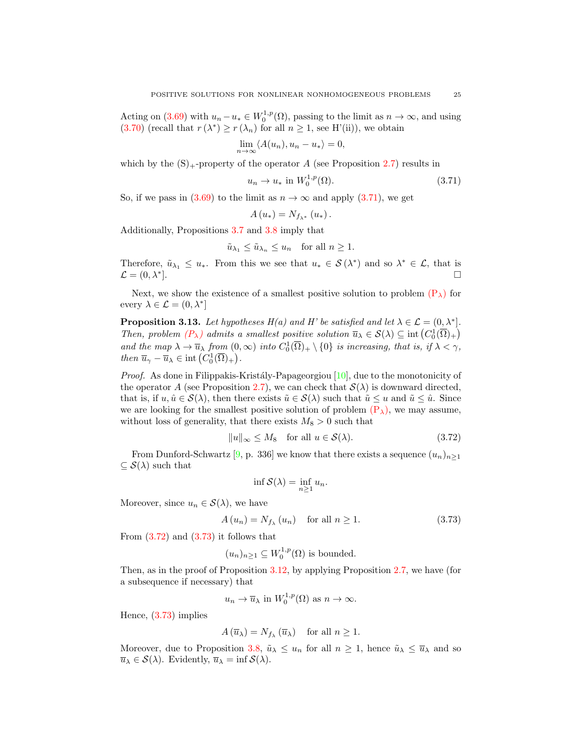Acting on [\(3.69\)](#page-23-6) with  $u_n - u_* \in W_0^{1,p}(\Omega)$ , passing to the limit as  $n \to \infty$ , and using [\(3.70\)](#page-23-7) (recall that  $r(\lambda^*) \ge r(\lambda_n)$  for all  $n \ge 1$ , see H'(ii)), we obtain

$$
\lim_{n \to \infty} \langle A(u_n), u_n - u_* \rangle = 0,
$$

which by the  $(S)$ <sub>+-</sub>property of the operator A (see Proposition [2.7\)](#page-4-1) results in

$$
u_n \to u_* \text{ in } W_0^{1,p}(\Omega). \tag{3.71}
$$

So, if we pass in [\(3.69\)](#page-23-6) to the limit as  $n \to \infty$  and apply [\(3.71\)](#page-24-0), we get

<span id="page-24-0"></span>
$$
A(u_*) = N_{f_{\lambda^*}}(u_*)\,.
$$

Additionally, Propositions [3.7](#page-15-3) and [3.8](#page-18-4) imply that

$$
\tilde{u}_{\lambda_1} \le \tilde{u}_{\lambda_n} \le u_n \quad \text{for all } n \ge 1.
$$

Therefore,  $\tilde{u}_{\lambda_1} \leq u_*$ . From this we see that  $u_* \in \mathcal{S}(\lambda^*)$  and so  $\lambda^* \in \mathcal{L}$ , that is  $\mathcal{L} = (0, \lambda^*).$ ].

Next, we show the existence of a smallest positive solution to problem  $(P_{\lambda})$  $(P_{\lambda})$  for every  $\lambda \in \mathcal{L} = (0, \lambda^*)$ 

<span id="page-24-3"></span>**Proposition 3.13.** Let hypotheses  $H(a)$  and H' be satisfied and let  $\lambda \in \mathcal{L} = (0, \lambda^*]$ . Then, problem  $(P_\lambda)$  $(P_\lambda)$  admits a smallest positive solution  $\overline{u}_\lambda \in \mathcal{S}(\lambda) \subseteq \text{int}(C_0^1(\overline{\Omega})_+)$ and the map  $\lambda \to \overline{u}_{\lambda}$  from  $(0, \infty)$  into  $C_0^1(\overline{\Omega})_+ \setminus \{0\}$  is increasing, that is, if  $\lambda < \gamma$ , then  $\overline{u}_{\gamma} - \overline{u}_{\lambda} \in \text{int}\left(C_0^1(\overline{\Omega})_+\right).$ 

*Proof.* As done in Filippakis-Kristály-Papageorgiou  $[10]$ , due to the monotonicity of the operator A (see Proposition [2.7\)](#page-4-1), we can check that  $\mathcal{S}(\lambda)$  is downward directed, that is, if  $u, \hat{u} \in \mathcal{S}(\lambda)$ , then there exists  $\tilde{u} \in \mathcal{S}(\lambda)$  such that  $\tilde{u} \leq u$  and  $\tilde{u} \leq \hat{u}$ . Since we are looking for the smallest positive solution of problem  $(P_{\lambda})$  $(P_{\lambda})$ , we may assume, without loss of generality, that there exists  $M_8 > 0$  such that

$$
||u||_{\infty} \le M_8 \quad \text{for all } u \in \mathcal{S}(\lambda). \tag{3.72}
$$

From Dunford-Schwartz [\[9,](#page-26-23) p. 336] we know that there exists a sequence  $(u_n)_{n\geq 1}$  $\subseteq$   $S(\lambda)$  such that

<span id="page-24-2"></span><span id="page-24-1"></span>
$$
\inf \mathcal{S}(\lambda) = \inf_{n \ge 1} u_n.
$$

Moreover, since  $u_n \in \mathcal{S}(\lambda)$ , we have

$$
A(u_n) = N_{f_\lambda}(u_n) \quad \text{for all } n \ge 1.
$$
 (3.73)

From  $(3.72)$  and  $(3.73)$  it follows that

$$
(u_n)_{n\geq 1} \subseteq W_0^{1,p}(\Omega)
$$
 is bounded.

Then, as in the proof of Proposition [3.12,](#page-23-8) by applying Proposition [2.7,](#page-4-1) we have (for a subsequence if necessary) that

$$
u_n \to \overline{u}_\lambda
$$
 in  $W_0^{1,p}(\Omega)$  as  $n \to \infty$ .

Hence, [\(3.73\)](#page-24-2) implies

$$
A(\overline{u}_{\lambda}) = N_{f_{\lambda}}(\overline{u}_{\lambda})
$$
 for all  $n \ge 1$ .

Moreover, due to Proposition [3.8,](#page-18-4)  $\tilde{u}_{\lambda} \leq u_n$  for all  $n \geq 1$ , hence  $\tilde{u}_{\lambda} \leq \overline{u}_{\lambda}$  and so  $\overline{u}_{\lambda} \in \mathcal{S}(\lambda)$ . Evidently,  $\overline{u}_{\lambda} = \inf \mathcal{S}(\lambda)$ .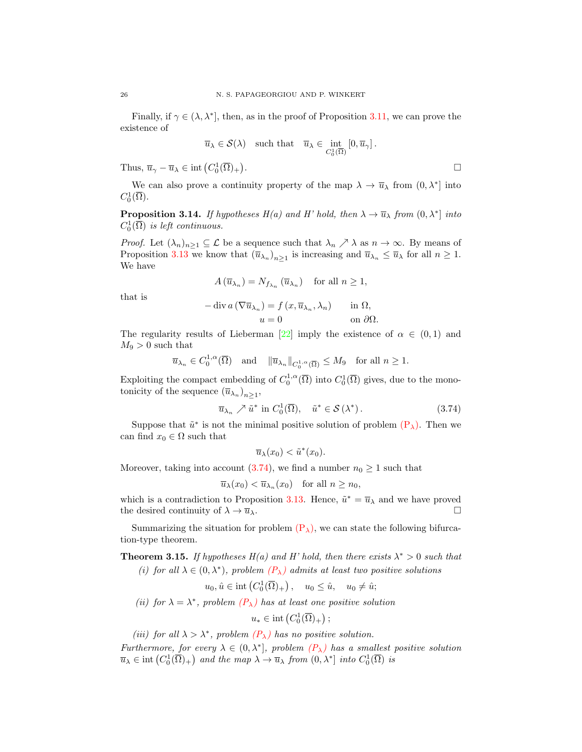Finally, if  $\gamma \in (\lambda, \lambda^*]$ , then, as in the proof of Proposition [3.11,](#page-21-3) we can prove the existence of

$$
\overline{u}_{\lambda} \in \mathcal{S}(\lambda)
$$
 such that  $\overline{u}_{\lambda} \in \text{int}_{C_0^1(\overline{\Omega})} [0, \overline{u}_{\gamma}].$ 

Thus,  $\overline{u}_{\gamma} - \overline{u}_{\lambda} \in \text{int}\left(C_0^1(\overline{\Omega})_+\right)$ 

We can also prove a continuity property of the map  $\lambda \to \overline{u}_{\lambda}$  from  $(0, \lambda^*)$  into  $C_0^1(\overline{\Omega}).$ 

**Proposition 3.14.** If hypotheses  $H(a)$  and H' hold, then  $\lambda \to \overline{u}_{\lambda}$  from  $(0, \lambda^*)$  into  $C_0^1(\overline{\Omega})$  is left continuous.

*Proof.* Let  $(\lambda_n)_{n\geq 1} \subseteq \mathcal{L}$  be a sequence such that  $\lambda_n \nearrow \lambda$  as  $n \to \infty$ . By means of Proposition [3.13](#page-24-3) we know that  $(\overline{u}_{\lambda_n})_{n\geq 1}$  is increasing and  $\overline{u}_{\lambda_n} \leq \overline{u}_{\lambda}$  for all  $n \geq 1$ . We have

$$
A(\overline{u}_{\lambda_n}) = N_{f_{\lambda_n}}(\overline{u}_{\lambda_n}) \quad \text{for all } n \ge 1,
$$

that is

$$
-\operatorname{div} a\left(\nabla \overline{u}_{\lambda_n}\right) = f\left(x, \overline{u}_{\lambda_n}, \lambda_n\right) \quad \text{in } \Omega,
$$

$$
u = 0 \quad \text{on } \partial\Omega.
$$

The regularity results of Lieberman [\[22\]](#page-26-11) imply the existence of  $\alpha \in (0,1)$  and  $M_9 > 0$  such that

$$
\overline{u}_{\lambda_n} \in C_0^{1,\alpha}(\overline{\Omega})
$$
 and  $\|\overline{u}_{\lambda_n}\|_{C_0^{1,\alpha}(\overline{\Omega})} \le M_9$  for all  $n \ge 1$ .

Exploiting the compact embedding of  $C_0^{1,\alpha}(\overline{\Omega})$  into  $C_0^1(\overline{\Omega})$  gives, due to the monotonicity of the sequence  $(\overline{u}_{\lambda_n})_{n\geq 1}$ ,

$$
\overline{u}_{\lambda_n} \nearrow \tilde{u}^* \text{ in } C_0^1(\overline{\Omega}), \quad \tilde{u}^* \in \mathcal{S}(\lambda^*).
$$
 (3.74)

Suppose that  $\tilde{u}^*$  is not the minimal positive solution of problem  $(P_{\lambda})$  $(P_{\lambda})$ . Then we can find  $x_0 \in \Omega$  such that

<span id="page-25-0"></span>
$$
\overline{u}_{\lambda}(x_0) < \tilde{u}^*(x_0).
$$

Moreover, taking into account [\(3.74\)](#page-25-0), we find a number  $n_0 \geq 1$  such that

 $\overline{u}_{\lambda}(x_0) < \overline{u}_{\lambda_n}(x_0)$  for all  $n \geq n_0$ ,

which is a contradiction to Proposition [3.13.](#page-24-3) Hence,  $\tilde{u}^* = \overline{u}_{\lambda}$  and we have proved the desired continuity of  $\lambda \to \overline{u}_{\lambda}$ .

Summarizing the situation for problem  $(P_{\lambda})$  $(P_{\lambda})$ , we can state the following bifurcation-type theorem.

**Theorem 3.15.** If hypotheses  $H(a)$  and H' hold, then there exists  $\lambda^* > 0$  such that (i) for all  $\lambda \in (0, \lambda^*)$ , problem  $(P_{\lambda})$  $(P_{\lambda})$  admits at least two positive solutions

$$
u_0, \hat{u} \in \text{int}\left(C_0^1(\overline{\Omega})_+\right), \quad u_0 \leq \hat{u}, \quad u_0 \neq \hat{u};
$$

(ii) for  $\lambda = \lambda^*$ , problem  $(P_{\lambda})$  $(P_{\lambda})$  has at least one positive solution

 $u_* \in \text{int}\left(C_0^1(\overline{\Omega})_+\right);$ 

(iii) for all  $\lambda > \lambda^*$ , problem  $(P_{\lambda})$  $(P_{\lambda})$  has no positive solution.

Furthermore, for every  $\lambda \in (0, \lambda^*]$ , problem  $(P_{\lambda})$  $(P_{\lambda})$  has a smallest positive solution  $\overline{u}_{\lambda} \in \text{int}\left(C_0^1(\overline{\Omega})_+\right)$  and the map  $\lambda \to \overline{u}_{\lambda}$  from  $(0, \lambda^*)$  into  $C_0^1(\overline{\Omega})$  is

.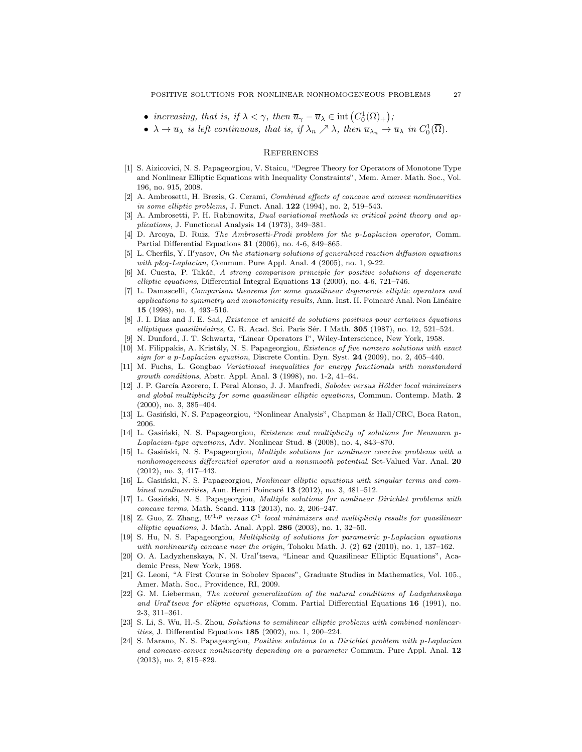- increasing, that is, if  $\lambda < \gamma$ , then  $\overline{u}_{\gamma} \overline{u}_{\lambda} \in \text{int}(C_0^1(\overline{\Omega})_+)$ ;
- $\lambda \to \overline{u}_{\lambda}$  is left continuous, that is, if  $\lambda_n \nearrow \lambda$ , then  $\overline{u}_{\lambda_n} \to \overline{u}_{\lambda}$  in  $C_0^1(\overline{\Omega})$ .

#### **REFERENCES**

- <span id="page-26-22"></span>[1] S. Aizicovici, N. S. Papageorgiou, V. Staicu, "Degree Theory for Operators of Monotone Type and Nonlinear Elliptic Equations with Inequality Constraints", Mem. Amer. Math. Soc., Vol. 196, no. 915, 2008.
- <span id="page-26-0"></span>[2] A. Ambrosetti, H. Brezis, G. Cerami, Combined effects of concave and convex nonlinearities in some elliptic problems, J. Funct. Anal. 122 (1994), no. 2, 519–543.
- <span id="page-26-9"></span>[3] A. Ambrosetti, P. H. Rabinowitz, *Dual variational methods in critical point theory and ap*plications, J. Functional Analysis 14 (1973), 349–381.
- <span id="page-26-16"></span>[4] D. Arcoya, D. Ruiz, The Ambrosetti-Prodi problem for the p-Laplacian operator, Comm. Partial Differential Equations 31 (2006), no. 4-6, 849–865.
- <span id="page-26-12"></span>[5] L. Cherfils, Y. Il'vasov, On the stationary solutions of generalized reaction diffusion equations with p&q-Laplacian, Commun. Pure Appl. Anal. 4 (2005), no. 1, 9-22.
- <span id="page-26-18"></span>[6] M. Cuesta, P. Takáč, A strong comparison principle for positive solutions of degenerate elliptic equations, Differential Integral Equations 13 (2000), no. 4-6, 721-746.
- <span id="page-26-19"></span>[7] L. Damascelli, *Comparison theorems for some quasilinear degenerate elliptic operators and* applications to symmetry and monotonicity results, Ann. Inst. H. Poincaré Anal. Non Linéaire 15 (1998), no. 4, 493–516.
- <span id="page-26-21"></span>[8] J. I. Díaz and J. E. Saá, Existence et unicité de solutions positives pour certaines équations elliptiques quasilinéaires, C. R. Acad. Sci. Paris Sér. I Math. 305 (1987), no. 12, 521–524.
- <span id="page-26-23"></span>[9] N. Dunford, J. T. Schwartz, "Linear Operators I", Wiley-Interscience, New York, 1958.
- <span id="page-26-2"></span>[10] M. Filippakis, A. Kristály, N. S. Papageorgiou, Existence of five nonzero solutions with exact sign for a p-Laplacian equation, Discrete Contin. Dyn. Syst.  $24$  (2009), no. 2, 405–440.
- <span id="page-26-13"></span>[11] M. Fuchs, L. Gongbao Variational inequalities for energy functionals with nonstandard growth conditions, Abstr. Appl. Anal. 3 (1998), no. 1-2, 41–64.
- <span id="page-26-5"></span>[12] J. P. García Azorero, I. Peral Alonso, J. J. Manfredi, Sobolev versus Hölder local minimizers and global multiplicity for some quasilinear elliptic equations, Commun. Contemp. Math. 2 (2000), no. 3, 385–404.
- <span id="page-26-10"></span>[13] L. Gasiński, N. S. Papageorgiou, "Nonlinear Analysis", Chapman & Hall/CRC, Boca Raton, 2006.
- <span id="page-26-14"></span>[14] L. Gasiński, N. S. Papageorgiou, Existence and multiplicity of solutions for Neumann p-Laplacian-type equations, Adv. Nonlinear Stud. 8 (2008), no. 4, 843–870.
- <span id="page-26-15"></span>[15] L. Gasiński, N. S. Papageorgiou, Multiple solutions for nonlinear coercive problems with a nonhomogeneous differential operator and a nonsmooth potential, Set-Valued Var. Anal. 20 (2012), no. 3, 417–443.
- <span id="page-26-3"></span>[16] L. Gasiński, N. S. Papageorgiou, Nonlinear elliptic equations with singular terms and combined nonlinearities, Ann. Henri Poincaré  $13$  (2012), no. 3, 481–512.
- <span id="page-26-4"></span>[17] L. Gasiński, N. S. Papageorgiou, Multiple solutions for nonlinear Dirichlet problems with concave terms, Math. Scand. 113 (2013), no. 2, 206–247.
- <span id="page-26-6"></span>[18] Z. Guo, Z. Zhang,  $W^{1,p}$  versus  $C^1$  local minimizers and multiplicity results for quasilinear elliptic equations, J. Math. Anal. Appl.  $286$  (2003), no. 1, 32-50.
- <span id="page-26-7"></span>[19] S. Hu, N. S. Papageorgiou, Multiplicity of solutions for parametric p-Laplacian equations with nonlinearity concave near the origin, Tohoku Math. J.  $(2)$  62  $(2010)$ , no. 1, 137–162.
- <span id="page-26-17"></span>[20] O. A. Ladyzhenskaya, N. N. Ural'tseva, "Linear and Quasilinear Elliptic Equations", Academic Press, New York, 1968.
- <span id="page-26-20"></span>[21] G. Leoni, "A First Course in Sobolev Spaces", Graduate Studies in Mathematics, Vol. 105., Amer. Math. Soc., Providence, RI, 2009.
- <span id="page-26-11"></span>[22] G. M. Lieberman, The natural generalization of the natural conditions of Ladyzhenskaya and Ural' tseva for elliptic equations, Comm. Partial Differential Equations 16 (1991), no. 2-3, 311–361.
- <span id="page-26-1"></span>[23] S. Li, S. Wu, H.-S. Zhou, Solutions to semilinear elliptic problems with combined nonlinearities, J. Differential Equations 185 (2002), no. 1, 200–224.
- <span id="page-26-8"></span>[24] S. Marano, N. S. Papageorgiou, Positive solutions to a Dirichlet problem with p-Laplacian and concave-convex nonlinearity depending on a parameter Commun. Pure Appl. Anal. 12 (2013), no. 2, 815–829.